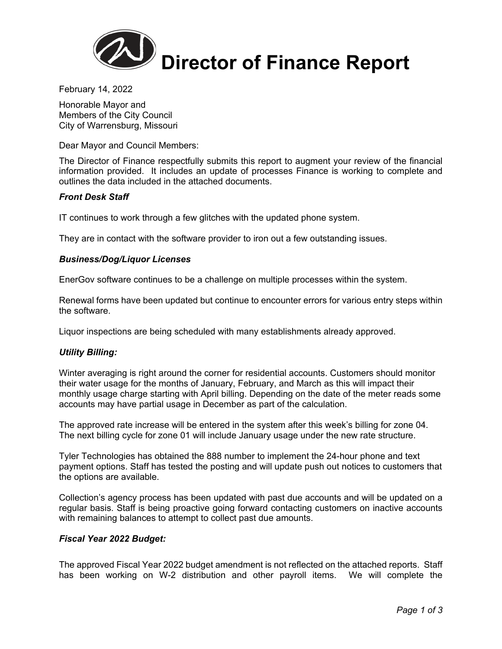

February 14, 2022

Honorable Mayor and Members of the City Council City of Warrensburg, Missouri

Dear Mayor and Council Members:

The Director of Finance respectfully submits this report to augment your review of the financial information provided. It includes an update of processes Finance is working to complete and outlines the data included in the attached documents.

## *Front Desk Staff*

IT continues to work through a few glitches with the updated phone system.

They are in contact with the software provider to iron out a few outstanding issues.

## *Business/Dog/Liquor Licenses*

EnerGov software continues to be a challenge on multiple processes within the system.

Renewal forms have been updated but continue to encounter errors for various entry steps within the software.

Liquor inspections are being scheduled with many establishments already approved.

### *Utility Billing:*

Winter averaging is right around the corner for residential accounts. Customers should monitor their water usage for the months of January, February, and March as this will impact their monthly usage charge starting with April billing. Depending on the date of the meter reads some accounts may have partial usage in December as part of the calculation.

The approved rate increase will be entered in the system after this week's billing for zone 04. The next billing cycle for zone 01 will include January usage under the new rate structure.

Tyler Technologies has obtained the 888 number to implement the 24-hour phone and text payment options. Staff has tested the posting and will update push out notices to customers that the options are available.

Collection's agency process has been updated with past due accounts and will be updated on a regular basis. Staff is being proactive going forward contacting customers on inactive accounts with remaining balances to attempt to collect past due amounts.

### *Fiscal Year 2022 Budget:*

The approved Fiscal Year 2022 budget amendment is not reflected on the attached reports. Staff has been working on W-2 distribution and other payroll items. We will complete the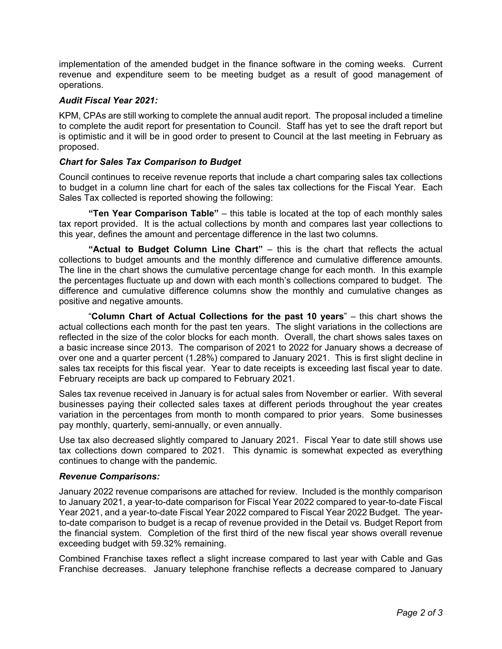implementation of the amended budget in the finance software in the coming weeks. Current revenue and expenditure seem to be meeting budget as a result of good management of operations.

## *Audit Fiscal Year 2021:*

KPM, CPAs are still working to complete the annual audit report. The proposal included a timeline to complete the audit report for presentation to Council. Staff has yet to see the draft report but is optimistic and it will be in good order to present to Council at the last meeting in February as proposed.

## *Chart for Sales Tax Comparison to Budget*

Council continues to receive revenue reports that include a chart comparing sales tax collections to budget in a column line chart for each of the sales tax collections for the Fiscal Year. Each Sales Tax collected is reported showing the following:

**"Ten Year Comparison Table"** – this table is located at the top of each monthly sales tax report provided. It is the actual collections by month and compares last year collections to this year, defines the amount and percentage difference in the last two columns.

**"Actual to Budget Column Line Chart"** – this is the chart that reflects the actual collections to budget amounts and the monthly difference and cumulative difference amounts. The line in the chart shows the cumulative percentage change for each month. In this example the percentages fluctuate up and down with each month's collections compared to budget. The difference and cumulative difference columns show the monthly and cumulative changes as positive and negative amounts.

 "**Column Chart of Actual Collections for the past 10 years**" – this chart shows the actual collections each month for the past ten years. The slight variations in the collections are reflected in the size of the color blocks for each month. Overall, the chart shows sales taxes on a basic increase since 2013. The comparison of 2021 to 2022 for January shows a decrease of over one and a quarter percent (1.28%) compared to January 2021. This is first slight decline in sales tax receipts for this fiscal year. Year to date receipts is exceeding last fiscal year to date. February receipts are back up compared to February 2021.

Sales tax revenue received in January is for actual sales from November or earlier. With several businesses paying their collected sales taxes at different periods throughout the year creates variation in the percentages from month to month compared to prior years. Some businesses pay monthly, quarterly, semi-annually, or even annually.

Use tax also decreased slightly compared to January 2021. Fiscal Year to date still shows use tax collections down compared to 2021. This dynamic is somewhat expected as everything continues to change with the pandemic.

### *Revenue Comparisons:*

January 2022 revenue comparisons are attached for review. Included is the monthly comparison to January 2021, a year-to-date comparison for Fiscal Year 2022 compared to year-to-date Fiscal Year 2021, and a year-to-date Fiscal Year 2022 compared to Fiscal Year 2022 Budget. The yearto-date comparison to budget is a recap of revenue provided in the Detail vs. Budget Report from the financial system. Completion of the first third of the new fiscal year shows overall revenue exceeding budget with 59.32% remaining.

Combined Franchise taxes reflect a slight increase compared to last year with Cable and Gas Franchise decreases. January telephone franchise reflects a decrease compared to January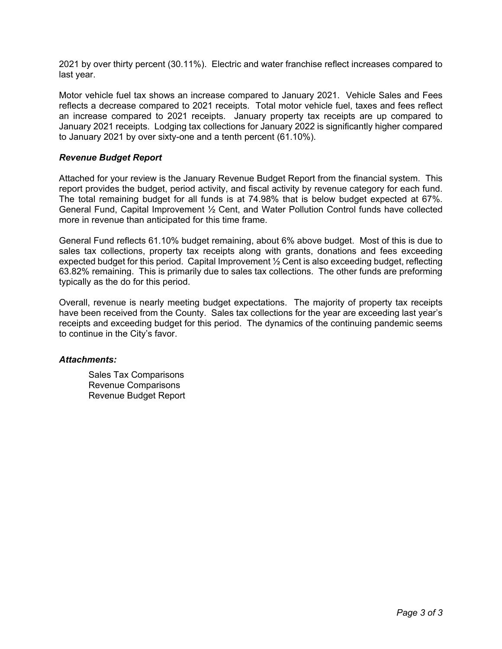2021 by over thirty percent (30.11%). Electric and water franchise reflect increases compared to last year.

Motor vehicle fuel tax shows an increase compared to January 2021. Vehicle Sales and Fees reflects a decrease compared to 2021 receipts. Total motor vehicle fuel, taxes and fees reflect an increase compared to 2021 receipts. January property tax receipts are up compared to January 2021 receipts. Lodging tax collections for January 2022 is significantly higher compared to January 2021 by over sixty-one and a tenth percent (61.10%).

## *Revenue Budget Report*

Attached for your review is the January Revenue Budget Report from the financial system. This report provides the budget, period activity, and fiscal activity by revenue category for each fund. The total remaining budget for all funds is at 74.98% that is below budget expected at 67%. General Fund, Capital Improvement ½ Cent, and Water Pollution Control funds have collected more in revenue than anticipated for this time frame.

General Fund reflects 61.10% budget remaining, about 6% above budget. Most of this is due to sales tax collections, property tax receipts along with grants, donations and fees exceeding expected budget for this period. Capital Improvement  $\frac{1}{2}$  Cent is also exceeding budget, reflecting 63.82% remaining. This is primarily due to sales tax collections. The other funds are preforming typically as the do for this period.

Overall, revenue is nearly meeting budget expectations. The majority of property tax receipts have been received from the County. Sales tax collections for the year are exceeding last year's receipts and exceeding budget for this period. The dynamics of the continuing pandemic seems to continue in the City's favor.

### *Attachments:*

Sales Tax Comparisons Revenue Comparisons Revenue Budget Report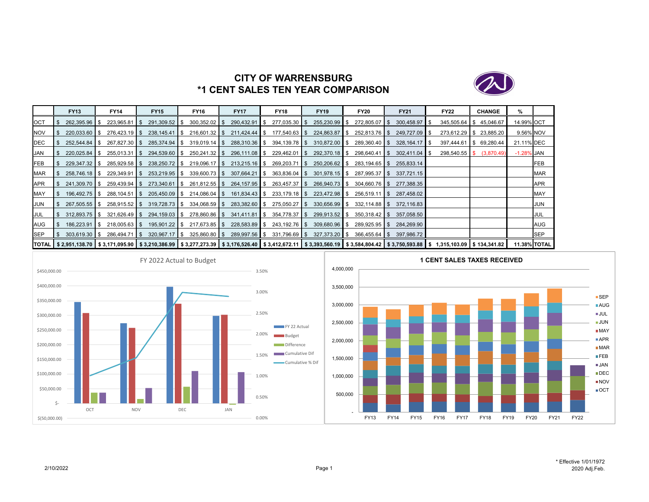

# **CITY OF WARRENSBURG\*1 CENT SALES TEN YEAR COMPARISON**

|            | <b>FY13</b>       | <b>FY14</b>                                                                                                                                                                                               | <b>FY15</b>     | <b>FY16</b>     | <b>FY17</b>     |     | <b>FY18</b>     | <b>FY19</b>     | <b>FY20</b>     | <b>FY21</b>     | <b>FY22</b>      |     | <b>CHANGE</b> | %                   |            |
|------------|-------------------|-----------------------------------------------------------------------------------------------------------------------------------------------------------------------------------------------------------|-----------------|-----------------|-----------------|-----|-----------------|-----------------|-----------------|-----------------|------------------|-----|---------------|---------------------|------------|
| <b>OCT</b> | 262.395.96 \$     | $223.965.81$ S                                                                                                                                                                                            | 291,309.52 \$   | $300.352.02$ \$ | 290,432.91      | IS. | $277,035.30$ \$ | $255,230.99$ \$ | 272,805.07 \$   | $300.458.97$ S  | $345,505.64$ \\$ |     | 45,046.67     | 14.99% OCT          |            |
| <b>NOV</b> |                   | $276,423.19$ \$                                                                                                                                                                                           | $238.145.41$ S  | $216.601.32$ S  | $211.424.44$ S  |     | $177.540.63$ \$ | 224,863.87 \$   | 252.813.76 S    | 249.727.09 \$   | $273.612.29$ S   |     | 23,885.20     | 9.56% NOV           |            |
| <b>DEC</b> | $252.544.84$ \ \$ | 267.827.30 \$                                                                                                                                                                                             | 285,374.94 \$   | $319,019.14$ \$ | 288,310.36 \$   |     | $394,139.78$ \$ | 310.872.00 \$   | $289,360.40$ \$ | 328.164.17      | 397,444.61       | IS. | 69,280.44     | 21.11% DEC          |            |
| <b>JAN</b> |                   | $255.013.31$ S                                                                                                                                                                                            | 294,539.60 \$   | $250,241.32$ \$ | 296,111.08 \$   |     | $229,462.01$ \$ | 292,370.18 \$   | $298,640.41$ \$ | $302,411.04$ \$ | $298,540.55$ \$  |     | (3,870.49)    | $-1.28\%$ JAN       |            |
| <b>FEB</b> | $229,347.32$ \$   | $285,929.58$ \$                                                                                                                                                                                           | 238,250.72 \$   | $219,096.17$ \$ | $213,215.16$ \$ |     | $269,203.71$ \$ | 250,206.62 \$   | $283,194.65$ \$ | 255,833.14      |                  |     |               |                     | <b>FEB</b> |
| <b>MAR</b> | 258.746.18 \$     | $229,349.91$ \$                                                                                                                                                                                           | 253,219.95 \$   | $339,600.73$ \$ | $307,664.21$ \$ |     | $363,836.04$ \$ | $301,978.15$ \$ | 287,995.37 \$   | 337.721.15      |                  |     |               |                     | MAR        |
| <b>APR</b> | 241,309.70 \$     |                                                                                                                                                                                                           | 273.340.61   \$ | $261,812.55$ \$ | 264,157.95 \$   |     | $263,457.37$ \$ | 266.940.73 \$   | 304.660.76 S    | 277.388.35      |                  |     |               |                     | <b>APR</b> |
| MAY        | 196.492.75 \$     | $288.104.51$ S                                                                                                                                                                                            | 205,450.09 \$   | $214,086.04$ \$ | 161,834.43 \$   |     | $233,179.18$ \$ | $223.472.98$ \$ | $256,519.11$ \$ | 287.458.02      |                  |     |               |                     | <b>MAY</b> |
| <b>JUN</b> | $267.505.55$ \$   | $258.915.52$ S                                                                                                                                                                                            | 319.728.73 \$   | $334,068.59$ \$ | 283.382.60 \$   |     | $275,050.27$ \$ | $330.656.99$ \$ | 332.114.88 S    | 372.116.83      |                  |     |               |                     | JUN        |
| <b>JUL</b> | $312.893.75$ \$   | $321.626.49$ S                                                                                                                                                                                            | 294.159.03 \$   | 278.860.86 \$   | 341.411.81 S    |     | 354.778.37 \$   | $299.913.52$ \$ |                 | 357.058.50      |                  |     |               |                     | JUL        |
| AUG        | $186.223.91$ S    | $218,005.63$ \$                                                                                                                                                                                           | 195,901.22 \$   | $217,673.85$ \$ | 228,583.89 \$   |     | $243,192.76$ \$ | 309,680.96 \$   | $289.925.95$ \$ | 284.269.90      |                  |     |               |                     | AUG        |
| <b>SEP</b> | $303,619.30$ \$   | 286.494.71 \$                                                                                                                                                                                             | $320,967.17$ \$ | $325,860.80$ \$ | 289,997.56 \$   |     | $331,796.69$ \$ | 327,373.20 \$   | $366,455.64$ \$ | 397.986.72      |                  |     |               |                     | <b>SEP</b> |
|            |                   | TOTAL   \$ 2,951,138.70   \$ 3,171,095.90   \$ 3,210,386.99   \$ 3,277,273.39   \$ 3,176,526.40   \$ 3,412,672.11   \$ 3,393,560.19   \$ 3,584,804.42   \$ 3,750,593.88   \$ 1,315,103.09   \$ 134,341.82 |                 |                 |                 |     |                 |                 |                 |                 |                  |     |               | <b>11.38% TOTAL</b> |            |



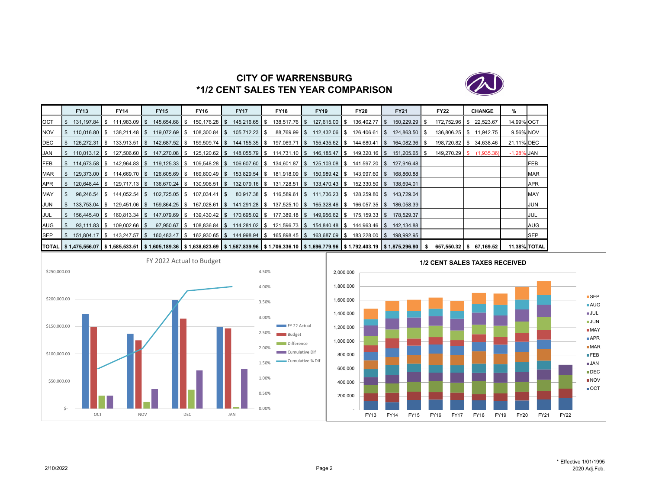

# **CITY OF WARRENSBURG\*1/2 CENT SALES TEN YEAR COMPARISON**

|            | <b>FY13</b>            | <b>FY14</b>                                                                                                                                                                  | <b>FY15</b>   | <b>FY16</b>      | <b>FY17</b>                                                                                    | <b>FY18</b>                     | <b>FY19</b>                 | <b>FY20</b>                            | <b>FY21</b>   | <b>FY22</b>   | <b>CHANGE</b>            | ℅             |                     |
|------------|------------------------|------------------------------------------------------------------------------------------------------------------------------------------------------------------------------|---------------|------------------|------------------------------------------------------------------------------------------------|---------------------------------|-----------------------------|----------------------------------------|---------------|---------------|--------------------------|---------------|---------------------|
| <b>OCT</b> | $131.197.84$ S         | $111,983.09$ \$                                                                                                                                                              | 145,654.68 \$ | $150, 176.28$ \$ | 145,216.65 \$                                                                                  | $138,517.76$ \$                 | 127,615.00 \$               | 136,402.77 \$                          | 150,229.29 \$ | 172,752.96    | 22,523.67                | 14.99% OCT    |                     |
| <b>NOV</b> | $110,016.80$ \$        |                                                                                                                                                                              | 119,072.69 \$ | $108,300.84$ \$  | $105,712.23$ \$                                                                                | 88,769.99 \$                    | $112,432.06$ \$             | $126,406.61$ $\sqrt$                   | 124,863.50 \$ | 136,806.25    | 11,942.75<br>$\cdot$ IS  |               | 9.56% NOV           |
| DEC        | 126,272.31 \$          | $133.913.51$ S                                                                                                                                                               | 142,687.52 \$ | 159,509.74 \$    | 144,155.35 \$                                                                                  | 197,069.71 \$                   | 155,435.62 \$               | $144,680.41$ $\sqrt$                   | 164,082.36 \$ | 198,720.82    | 34,638.46                | 21.11% DEC    |                     |
| JAN        | $110,013.12$ \$        | $127,506.60$ \$                                                                                                                                                              | 147,270.08 \$ | $125, 120.62$ \$ |                                                                                                | $148,055.79$ \$ $114,731.10$ \$ | 146,185.47 \$               | $149,320.16$ \$                        | 151,205.65 \$ |               | 149,270.29 \$ (1,935.36) | $-1.28\%$ JAN |                     |
| <b>FEB</b> | 114.673.58 \$          | 142,964.83 \$                                                                                                                                                                |               | 109,548.28 \$    | 106,607.60 \$                                                                                  | 134,601.87 \$                   | $125,103.08$ \$             | 141,597.20 \$                          | 127.916.48    |               |                          |               | FEB                 |
| MAR        |                        | 129,373.00 \$ 114,669.70 \$                                                                                                                                                  |               |                  | 126,605.69 \$ 169,800.49 \$ 153,829.54 \$ 181,918.09 \$ 150,989.42 \$ 143,997.60 \$ 168,860.88 |                                 |                             |                                        |               |               |                          |               | <b>MAR</b>          |
| APR        | 120,648.44 \$          | $129,717.13$ \$                                                                                                                                                              | 136,670.24 \$ | 130,906.51   \$  | 132,079.16 \$                                                                                  | $131,728.51$ \$                 | 133,470.43 \$               | $152,330.50$ \$                        | 138,694.01    |               |                          |               | <b>APR</b>          |
| MAY        | $98,246.54$ \$         |                                                                                                                                                                              | 102,725.05 \$ | $107,034.41$ \$  | 80,917.38 \$                                                                                   |                                 | 116,589.61 \$ 111,736.23 \$ | $128,259.80$ \$                        | 143,729.04    |               |                          |               | <b>MAY</b>          |
| JUN        | 133,753.04 \$          | $129,451.06$ \$                                                                                                                                                              | 159,864.25 \$ | 167,028.61 \$    | 141,291.28 \$                                                                                  | $137,525.10$ \$                 | 165,328.46 \$               | $166,057.35$ \$                        | 186,058.39    |               |                          |               | JUN                 |
| JUL        | 156,445.40 \$          |                                                                                                                                                                              | 147,079.69 \$ |                  | 139,430.42 \$ 170,695.02 \$ 177,389.18 \$                                                      |                                 |                             | 149,956.62 \$ 175,159.33 \$ 178,529.37 |               |               |                          |               | JUL                 |
| AUG        | $93,111.83$ $\sqrt{5}$ | $109,002.66$ \ \ \$                                                                                                                                                          | 97,950.67 \$  |                  | 108,836.84 \$ 114,281.02 \$ 121,596.73 \$                                                      |                                 | 154,840.48 \$               | 144.963.46 S                           | 142.134.88    |               |                          |               | <b>AUG</b>          |
| SEP        | 151,804.17 \$          | 143,247.57 \$                                                                                                                                                                | 160,483.47 \$ |                  | 162,930.65 \$ 144,998.94 \$ 165,898.45 \$                                                      |                                 | 163,687.09 \$               |                                        | 198,992.95    |               |                          |               | <b>SEP</b>          |
|            |                        | TOTAL   \$ 1,475,556.07   \$ 1,585,533.51   \$ 1,605,189.36   \$ 1,638,623.69   \$ 1,587,839.96   \$ 1,706,336.10   \$ 1,696,779.96   \$ 1,792,403.19   \$ 1,875,296.80   \$ |               |                  |                                                                                                |                                 |                             |                                        |               | 657,550.32 \$ | 67,169.52                |               | <b>11.38% TOTAL</b> |



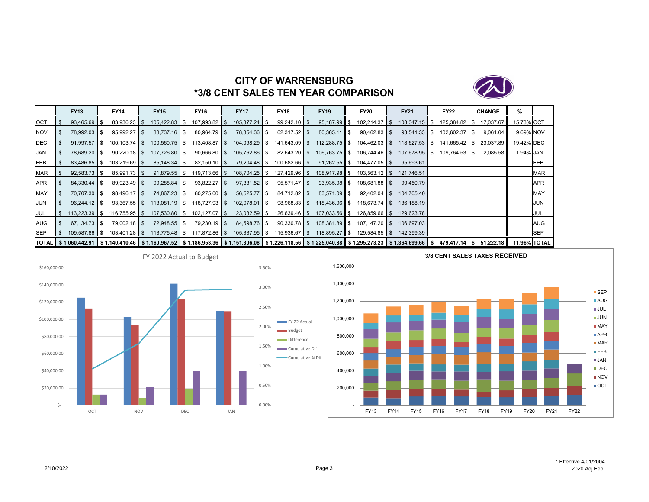

## **CITY OF WARRENSBURG\*3/8 CENT SALES TEN YEAR COMPARISON**

|            | <b>FY13</b>     | FY14                                                                                                                                                                                        | <b>FY15</b>             | <b>FY16</b>     | <b>FY17</b>               | <b>FY18</b>     | <b>FY19</b>     |      | <b>FY20</b>     | <b>FY21</b>     | <b>FY22</b>     | <b>CHANGE</b> | %                   |            |
|------------|-----------------|---------------------------------------------------------------------------------------------------------------------------------------------------------------------------------------------|-------------------------|-----------------|---------------------------|-----------------|-----------------|------|-----------------|-----------------|-----------------|---------------|---------------------|------------|
| <b>OCT</b> | $93.465.69$ \$  |                                                                                                                                                                                             | 105.422.83 \$           | $107,993.82$ \$ | 105,377.24 \$             | $99.242.10$ \$  | 95.187.99       | \$   | $102.214.37$ S  | $108.347.15$ S  | 125.384.82   \$ | 17,037.67     | 15.73% OCT          |            |
| <b>NOV</b> | 78,992.03 \$    | $95,992.27$ \$                                                                                                                                                                              | 88,737.16 \$            | $80,964.79$ \$  | 78,354.36 \$              | $62,317.52$ \$  | 80,365.11       | - \$ | $90,462.83$ \$  | $93,541.33$ \$  | $102,602.37$ \$ | 9,061.04      | 9.69% NOV           |            |
| DEC        | $91.997.57$ \$  | $100.103.74$ S                                                                                                                                                                              | 100.560.75 \$           | $113.408.87$ S  | 104,098.29 \$             | $141,643.09$ \$ | 112,288.75 \$   |      | $104,462.03$ \$ | $118,627.53$ \$ | 141,665.42 \$   | 23,037.89     | 19.42% DEC          |            |
| <b>JAN</b> | 78,689.20 \$    | $90,220.18$ \$                                                                                                                                                                              | 107,726.80 \$           | $90,666.80$ \$  | 105,762.86 \$             | $82,643.20$ \$  | $106,763.75$ \$ |      | $106,744.46$ \$ | 107,678.95 \$   | 109,764.53 \$   | 2,085.58      | 1.94% JAN           |            |
| FEB        | 83,486.85 \$    | $103,219.69$ \$                                                                                                                                                                             |                         | $82,150.10$ \$  | 79,204.48   \$            | $100,682.66$ \$ | $91,262.55$ \$  |      | $104,477.05$ \$ | 95,693.61       |                 |               |                     | FEB        |
| <b>MAR</b> | $92,583.73$ \$  | $85,991.73$ \$                                                                                                                                                                              | $91,879.55$ \$          | $119,713.66$ \$ | $108,704.25$ \$           | $127,429.96$ \$ | 108,917.98 \$   |      | $103,563.12$ \$ | 121,746.51      |                 |               |                     | MAR        |
| <b>APR</b> | 84.330.44 \$    | $89,923.49$ \$                                                                                                                                                                              |                         | $93,822.27$ \$  | $97,331.52$ \$            | $95.571.47$ \$  | $93,935.98$ \$  |      | 108.681.88   \$ | 99,450.79       |                 |               |                     | APR        |
| MAY        | 70,707.30 \$    | 98,496.17 \$                                                                                                                                                                                | 74,867.23 \$            | $80,275.00$ \$  | $56,525.77$ $\frac{8}{3}$ | $84,712.82$ \$  | 83,571.09 \$    |      | $92,402.04$ \$  | 104,705.40      |                 |               |                     | MAY        |
| JUN        | $96,244.12$ \$  | $93,367.55$ \$                                                                                                                                                                              | $113,081.19$ $\sqrt{3}$ | 118,727.93 \$   | 102,978.01   \$           | $98,968.83$ \$  | 118,436.96 \$   |      | $118,673.74$ \$ | 136,188.19      |                 |               |                     | JUN        |
| <b>JUL</b> | $113.223.39$ \$ | $116.755.95$ S                                                                                                                                                                              | 107.530.80 \ \$         | $102.127.07$ S  | 123,032.59 \$             | $126,639.46$ \$ | 107.033.56 \$   |      | $126.859.66$ S  | 129.623.78      |                 |               |                     | JUL        |
| <b>AUG</b> | $67,134.73$ \$  | $79,002.18$ \$                                                                                                                                                                              | 72,948.55 \$            | $79,230.19$ \$  | 84,598.76 \$              | $90,330.78$ \$  | 108,381.89   \$ |      | $107,147.20$ \$ | 106,697.03      |                 |               |                     | AUG        |
| <b>SEP</b> | 109.587.86 \$   | $103,401.28$ \$                                                                                                                                                                             | 113,775.48 \$           | 117,872.86 \$   | $105,337.95$ \$           | $115,936.67$ \$ | 118,895.27 \$   |      | $129,584.85$ \$ | 142,399.39      |                 |               |                     | <b>SEP</b> |
|            |                 | TOTAL   \$1,060,442.91   \$1,140,410.46   \$1,160,967.52   \$1,186,953.36   \$1,151,306.08   \$1,226,118.56   \$1,225,040.88   \$1,295,273.23   \$1,364,699.66   \$479,417.14   \$51,222.18 |                         |                 |                           |                 |                 |      |                 |                 |                 |               | <b>11.96% TOTAL</b> |            |



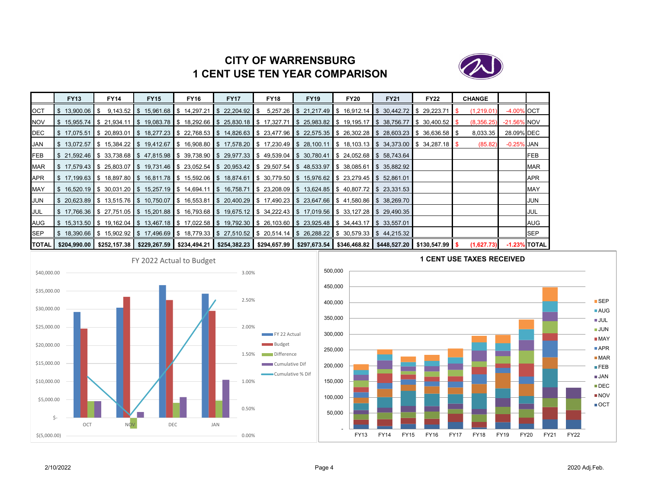# **CITY OF WARRENSBURG1 CENT USE TEN YEAR COMPARISON**



|            | <b>FY13</b>       | <b>FY14</b> | <b>FY15</b>                                                                                                                                    | <b>FY16</b> | <b>FY17</b> | <b>FY18</b> | <b>FY19</b> | <b>FY20</b> | <b>FY21</b>                                                       | <b>FY22</b> | <b>CHANGE</b> |                |                 |
|------------|-------------------|-------------|------------------------------------------------------------------------------------------------------------------------------------------------|-------------|-------------|-------------|-------------|-------------|-------------------------------------------------------------------|-------------|---------------|----------------|-----------------|
| OCT        | $$13,900.06$ \ \$ |             | $9,143.52$ \$ 15,961.68 \$ 14,297.21 \$ 22,204.92 \$                                                                                           |             |             |             |             |             | $5,257.26$ \$ 21,217.49 \$ 16,912.14 \$ 30,442.72 \$ 29,223.71 \$ |             | (1,219.01)    | -4.00% OCT     |                 |
| <b>NOV</b> |                   |             | \$15,955.74 \$21,934.11 \$19,083.78 \$18,292.66 \$25,830.18 \$17,327.71 \$25,983.82 \$19,195.17 \$38,756.77 \$30,400.52 \$                     |             |             |             |             |             |                                                                   |             | (8,356.25)    | $-21.56\%$ NOV |                 |
| DEC        |                   |             | \$ 17.075.51  \$ 20.893.01  \$ 18.277.23  \$ 22.768.53  \$ 14.826.63  \$ 23.477.96  \$ 22.575.35  \$ 26.302.28  \$ 28.603.23  \$ 36.636.58  \$ |             |             |             |             |             |                                                                   |             | 8,033.35      | 28.09% DEC     |                 |
| <b>JAN</b> |                   |             | \$13,072.57 \$15,384.22 \$19,412.67 \$16,908.80 \$17,578.20 \$17,230.49 \$28,100.11 \$18,103.13 \$34,373.00 \$34,287.18 \$                     |             |             |             |             |             |                                                                   |             | (85.82)       | $-0.25\%$ JAN  |                 |
| FEB        |                   |             | \$21,592.46 \$33,738.68 \$47,815.98 \$39,738.90 \$29,977.33 \$49,539.04 \$30,780.41 \$24,052.68 \$58,743.64                                    |             |             |             |             |             |                                                                   |             |               |                | FEB             |
| <b>MAR</b> |                   |             | \$17,579.43 \$25,803.07 \$19,731.46 \$23,052.54 \$20,953.42 \$29,507.54 \$48,533.97 \$38,085.61 \$35,882.92                                    |             |             |             |             |             |                                                                   |             |               |                | <b>MAR</b>      |
| APR        |                   |             | \$17,199.63 \$18,897.80 \$16,811.78 \$15,592.06 \$18,874.61 \$30,779.50 \$15,976.62 \$23,279.45 \$52,861.01                                    |             |             |             |             |             |                                                                   |             |               |                | <b>APR</b>      |
| <b>MAY</b> |                   |             | \$16,520.19 \$30,031.20 \$15,257.19 \$14,694.11 \$16,758.71 \$23,208.09 \$13,624.85 \$40,807.72 \$23,331.53                                    |             |             |             |             |             |                                                                   |             |               |                | <b>MAY</b>      |
| JUN        |                   |             | \$20,623.89  \$13,515.76  \$10,750.07  \$16,553.81  \$20,400.29  \$17,490.23  \$23,647.66  \$41,580.86  \$38,269.70                            |             |             |             |             |             |                                                                   |             |               |                | JUN             |
| <b>JUL</b> |                   |             | \$17,766.36 \$27,751.05 \$15,201.88 \$16,793.68 \$19,675.12 \$34,222.43 \$17,019.56 \$33,127.28 \$29,490.35                                    |             |             |             |             |             |                                                                   |             |               |                | JUL             |
| AUG        |                   |             | \$15,313.50 \$19,162.04 \$13,467.18 \$17,022.58 \$19,792.30 \$26,103.60 \$23,925.48 \$34,443.17 \$33,557.01 \$                                 |             |             |             |             |             |                                                                   |             |               |                | AUG             |
| <b>SEP</b> |                   |             | \$18,390.66  \$15,902.92  \$17,496.69  \$18,779.33  \$27,510.52  \$20,514.14  \$26,288.22  \$30,579.33  \$44,215.32                            |             |             |             |             |             |                                                                   |             |               |                | <b>SEP</b>      |
|            |                   |             | TOTAL \$204,990.00 \$252,157.38 \$229,267.59 \$234,494.21 \$254,382.23 \$294,657.99 \$297,673.54 \$346,468.82 \$448,527.20 \$130,547.99 \$     |             |             |             |             |             |                                                                   |             | (1,627.73)    |                | $-1.23\%$ TOTAL |



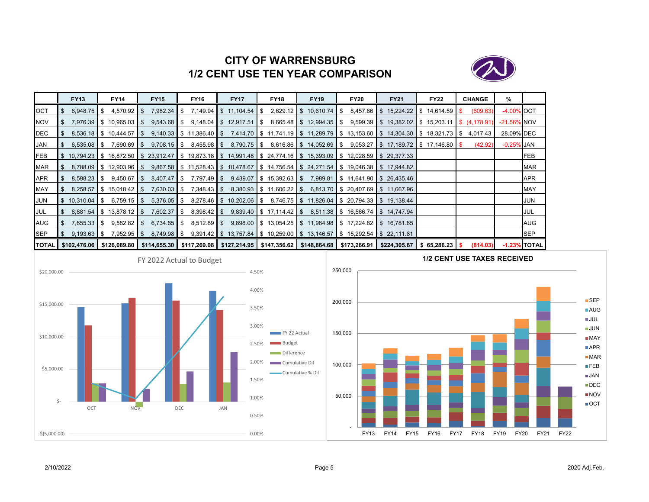

# **CITY OF WARRENSBURG1/2 CENT USE TEN YEAR COMPARISON**

|            | <b>FY13</b>            | <b>FY14</b>                   | <b>FY15</b>   | <b>FY16</b>                                                                                                                                                      | <b>FY17</b>                      | <b>FY18</b>                             | <b>FY19</b>                | <b>FY20</b>                                                                                                   | <b>FY21</b>                                                                | <b>FY22</b> | <b>CHANGE</b> | %            |                 |
|------------|------------------------|-------------------------------|---------------|------------------------------------------------------------------------------------------------------------------------------------------------------------------|----------------------------------|-----------------------------------------|----------------------------|---------------------------------------------------------------------------------------------------------------|----------------------------------------------------------------------------|-------------|---------------|--------------|-----------------|
| OCT        | $6,948.75$ $\sqrt{\ }$ | $4,570.92$ \$                 | 7,982.34 \$   |                                                                                                                                                                  | 7,149.94 $\$\,$ 11,104.54 $\$\,$ |                                         | $2,629.12$ \$ 10,610.74 \$ |                                                                                                               | $8,457.66$ \$ 15,224.22 \$ 14,614.59 \$                                    |             | (609.63)      | -4.00% OCT   |                 |
| <b>NOV</b> | 7.976.39               | $\frac{1}{2}$ \$ 10,965.03 \$ | $9,543.68$ \$ |                                                                                                                                                                  | $9,148.04$ \$ 12,917.51          | $\parallel$ \$ 8,665.48 \$ 12,994.35 \$ |                            |                                                                                                               | $9,599.39$ \$ 19,382.02 \$ 15,203.11 \$ (4,178.91)                         |             |               | -21.56% NOV  |                 |
| DEC        |                        | $8,536.18$ \$ 10,444.57 \$    |               | 9,140.33 \$ 11,386.40 \$ 7,414.70 \$ 11,741.19 \$ 11,289.79 \$ 13,153.60 \$ 14,304.30 \$ 18,321.73 \$ 4,017.43                                                   |                                  |                                         |                            |                                                                                                               |                                                                            |             |               | 28.09% DEC   |                 |
| JAN        | $6,535.08$ \$          | 7,690.69 \$                   | $9,708.15$ S  |                                                                                                                                                                  |                                  |                                         |                            |                                                                                                               | 8,790.75 \$ 8,616.86 \$ 14,052.69 \$ 9,053.27 \$ 17,189.72 \$ 17,146.80 \$ |             | (42.92)       | $-0.25%$ JAN |                 |
| <b>FEB</b> |                        |                               |               | \$10,794.23 \$16,872.50 \$23,912.47 \$19,873.18 \$14,991.48 \$24,774.16 \$15,393.09 \$12,028.59 \$29,377.33                                                      |                                  |                                         |                            |                                                                                                               |                                                                            |             |               |              | FEB             |
| <b>MAR</b> |                        | $8,788.09$ \$ 12,903.96 \$    |               | $9,867.58$ $\parallel$ \$ 11,528.43 $\parallel$ \$ 10,478.67 $\parallel$ \$ 14,756.54 $\parallel$ \$ 24,271.54 $\parallel$ \$ 19,046.38 $\parallel$ \$ 17,944.82 |                                  |                                         |                            |                                                                                                               |                                                                            |             |               |              | <b>MAR</b>      |
| APR        | 8,598.23               | $9,450.67$ \$<br>IS-          | $8,407.47$ \$ | 7,797.49   \$                                                                                                                                                    |                                  |                                         |                            | $9,439.07$ $\parallel$ \$ 15,392.63 $\parallel$ \$ 7,989.81 $\parallel$ \$ 11,641.90 $\parallel$ \$ 26,435.46 |                                                                            |             |               |              | <b>APR</b>      |
| MAY        | 8,258.57               | $$15,018.42$ \ \ \$           | $7,630.03$ \$ |                                                                                                                                                                  |                                  | 8,380.93 \$ 11,606.22 \$                |                            | 6,813.70 \$ 20,407.69 \$ 11,667.96                                                                            |                                                                            |             |               |              | <b>MAY</b>      |
| JUN        | $$10,310.04$ \$        | $6,759.15$ \$                 | $5,376.05$ \$ |                                                                                                                                                                  |                                  |                                         |                            | 8,278.46 \$ 10,202.06 \$ 8,746.75 \$ 11,826.04 \$ 20,794.33 \$ 19,138.44                                      |                                                                            |             |               |              | <b>JUN</b>      |
| JUL        | - S                    | $8,881.54$ \$ 13,878.12 \$    | $7,602.37$ \$ | $8,398.42$ \$                                                                                                                                                    |                                  |                                         |                            | $9,839.40$ \$ 17,114.42 \$ 8,511.38 \$ 16,566.74 \$ 14,747.94                                                 |                                                                            |             |               |              | JUL             |
| <b>AUG</b> | $7.655.33$ S           | $9,582.82$ \$                 | $6,734.85$ \$ | $8,512.89$ \$                                                                                                                                                    |                                  |                                         |                            | $9,898.00$ \$ 13,054.25 \$ 11,964.98 \$ 17,224.82 \$ 16,781.65                                                |                                                                            |             |               |              | AUG             |
| <b>SEP</b> | $9,193.63$ \$          | $7,952.95$ \$                 | 8,749.98 \$   |                                                                                                                                                                  |                                  |                                         |                            | $9.391.42$ \$ 13,757.84 \$ 10,259.00 \$ 13,146.57 \$ 15,292.54 \$ 22,111.81                                   |                                                                            |             |               |              | <b>SEP</b>      |
|            | TOTAL \$102,476.06     |                               |               | \$126,089.80 \$114,655.30 \$117,269.08 \$127,214.95 \$147,356.62 \$148,864.68 \$173,266.91 \$224,305.67 \$65,286.23 \$                                           |                                  |                                         |                            |                                                                                                               |                                                                            |             | (814.03)      |              | $-1.23\%$ TOTAL |



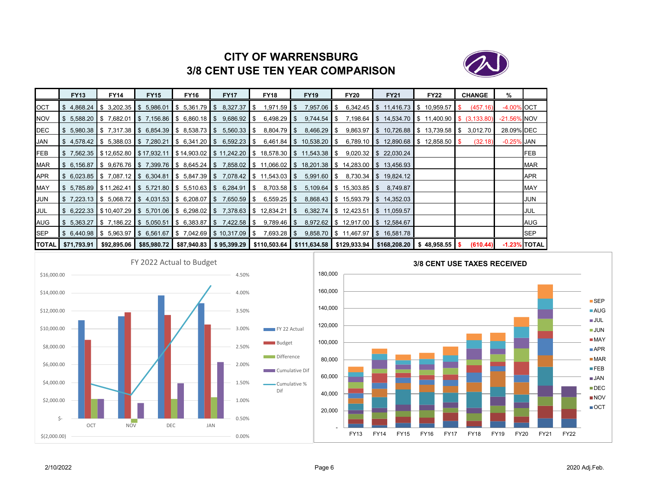

# **CITY OF WARRENSBURG3/8 CENT USE TEN YEAR COMPARISON**

|              | <b>FY13</b>                   | <b>FY14</b> | <b>FY15</b>            | <b>FY16</b>        | <b>FY17</b>                                                       | <b>FY18</b>                                                                              | <b>FY19</b>     | <b>FY20</b> | <b>FY21</b>                                                                                                      | <b>FY22</b> | <b>CHANGE</b> | %              |                 |
|--------------|-------------------------------|-------------|------------------------|--------------------|-------------------------------------------------------------------|------------------------------------------------------------------------------------------|-----------------|-------------|------------------------------------------------------------------------------------------------------------------|-------------|---------------|----------------|-----------------|
| OCT          | \$4.868.24                    | \$3,202.35  | $\frac{1}{5}$ 5,986.01 | $$5,361.79$ \ \ \$ | 8,327.37                                                          | S.                                                                                       | 7,957.06   \$   |             | $6,342.45$ \$ 11,416.73 \$ 10,959.57                                                                             |             | (457.16)      | -4.00% OCT     |                 |
| NOV          | $$5,588.20 \;   \; $7,682.01$ |             |                        |                    | $\$\$$ 7,156.86 $\$\$$ 6,860.18 $\$\$$ 9,686.92 $\$\$$            | 6,498.29 \$                                                                              |                 |             | $9,744.54$ $\uparrow$ \$ 7,198.64 $\uparrow$ \$ 14,534.70 $\uparrow$ \$ 11,400.90 $\uparrow$ \$ (3,133.80)       |             |               | $-21.56\%$ NOV |                 |
| DEC          |                               |             |                        |                    | $$5,980.38$ $$7,317.38$ $$6,854.39$ $$8,538.73$ $$5,560.33$ $$$   | 8,804.79 \$                                                                              | 8,466.29 \$     |             | $9,863.97$ \$ 10,726.88 \$ 13,739.58 \$                                                                          |             | 3,012.70      | 28.09% DEC     |                 |
| JAN          |                               |             |                        |                    |                                                                   | $$4,578.42$ $$5,388.03$ $$7,280.21$ $$6,341.20$ $$6,592.23$ $$6,461.84$ $$10,538.20$ $$$ |                 |             | 6,789.10 \$ 12,890.68 \$ 12,858.50 \$                                                                            |             | (32.18)       | -0.25% JAN     |                 |
| FEB          |                               |             |                        |                    |                                                                   |                                                                                          |                 |             | \$7,562.35 \$12,652.80 \$17,932.11 \$14,903.02 \$11,242.20 \$18,578.30 \$11,543.38 \$9,020.32 \$22,030.24        |             |               |                | FEB             |
| MAR          |                               |             |                        |                    |                                                                   |                                                                                          |                 |             | \$ 6,156.87 \$ 9,676.76 \$ 7,399.76 \$ 8,645.24 \$ 7,858.02 \$ 11,066.02 \$ 18,201.38 \$ 14,283.00 \$ 13,456.93  |             |               |                | <b>MAR</b>      |
| APR          |                               |             |                        |                    |                                                                   | $$6,023.85$ $$7,087.12$ $$6,304.81$ $$5,847.39$ $$7,078.42$ $$11,543.03$ $$5$            | $5,991.60$   \$ |             | 8,730.34 \$19,824.12                                                                                             |             |               |                | <b>APR</b>      |
| MAY          |                               |             |                        |                    |                                                                   | $$5,785.89$ $$11,262.41$ $$5,721.80$ $$5,510.63$ $$6,284.91$ $$8$ $$703.58$ $$$$         |                 |             | $5,109.64$ \$ 15,303.85 \$ 8,749.87                                                                              |             |               |                | <b>MAY</b>      |
| JUN          |                               |             |                        |                    | $$7,223.13$ $$5,068.72$ $$4,031.53$ $$6,208.07$ $$7,650.59$ $$$$  | $6,559.25$ \$                                                                            |                 |             | 8,868.43 \$ 15,593.79 \$ 14,352.03                                                                               |             |               |                | JUN             |
| JUL          |                               |             |                        |                    |                                                                   |                                                                                          |                 |             | \$ 6,222.33 \$10,407.29 \$ 5,701.06 \$ 6,298.02 \$ 7,378.63 \$ 12,834.21 \$ 6,382.74 \$ 12,423.51 \$ 11,059.57   |             |               |                | JUL             |
| AUG          |                               |             |                        |                    | $$5,363.27$ $$7,186.22$ $$5,050.51$ $$6,383.87$ $$7,422.58$ $$5$  | 9,789.46 S                                                                               |                 |             | 8,972.62 \$12,917.00 \$12,584.67                                                                                 |             |               |                | AUG             |
| <b>SEP</b>   |                               |             |                        |                    | $$6,440.98$ $$5,963.97$ $$6,561.67$ $$7,042.69$ $$10,317.09$ $$5$ | 7,693.28 \$                                                                              |                 |             | $9,858.70$ \$ 11,467.97 \$ 16,581.78                                                                             |             |               |                | SEP             |
| <b>TOTAL</b> | \$71,793.91                   | \$92,895.06 |                        |                    |                                                                   |                                                                                          |                 |             | $$85,980.72$ $$87,940.83$ $$95,399.29$ $$110,503.64$ $$111,634.58$ $$129,933.94$ $$168,208.20$ $$48,958.55$ $$5$ |             | (610.44)      |                | $-1.23\%$ TOTAL |



![](_page_8_Figure_4.jpeg)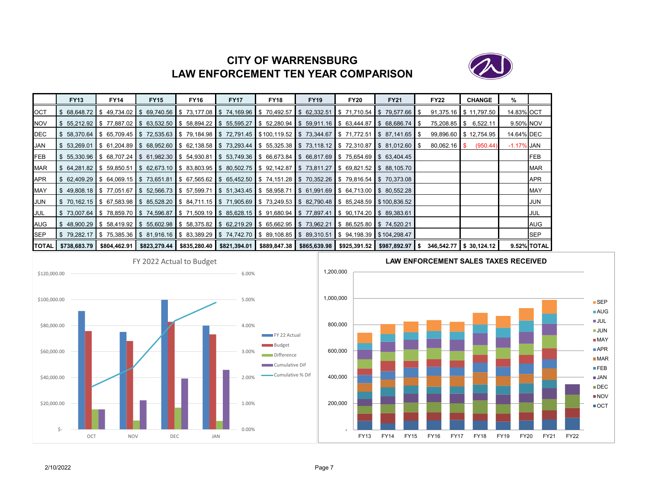# **CITY OF WARRENSBURGLAW ENFORCEMENT TEN YEAR COMPARISON**

![](_page_9_Picture_1.jpeg)

|            | <b>FY13</b> | <b>FY14</b>                 | <b>FY15</b>                                                                                                                                                                | <b>FY16</b> | <b>FY17</b>                                                                                                                            | <b>FY18</b>                                                      | <b>FY19</b> | <b>FY20</b> | <b>FY21</b> | <b>FY22</b>    | <b>CHANGE</b>         | %             |             |
|------------|-------------|-----------------------------|----------------------------------------------------------------------------------------------------------------------------------------------------------------------------|-------------|----------------------------------------------------------------------------------------------------------------------------------------|------------------------------------------------------------------|-------------|-------------|-------------|----------------|-----------------------|---------------|-------------|
| <b>OCT</b> |             | $68,648.72$ \$ 49,734.02 \$ |                                                                                                                                                                            |             | 69,740.56 \$73,177.08 \$74,169.96 \$70,492.57 \$62,332.51 \$71,710.54 \$79,577.66 \$                                                   |                                                                  |             |             |             |                | 91,375.16 \$11,797.50 | 14.83% OCT    |             |
| NOV        |             |                             | $\frac{1}{2}$ 55.212.92 $\frac{1}{2}$ 77.887.02 $\frac{1}{2}$ 63.532.50 $\frac{1}{2}$ 58.894.22 $\frac{1}{2}$ 55.595.27                                                    |             |                                                                                                                                        | $\$\$$ 52,280.94 \\ \$ 59,911.16 \ \$ 63,444.87 \ \$ 68,686.74 \ |             |             |             | 75,208.85 \$   | 6,522.11              | 9.50% NOV     |             |
| DEC        |             |                             | \$ 58,370.64  \$ 65,709.45  \$ 72,535.63  \$ 79,184.98  \$ 72,791.45  \$100,119.52  \$ 73,344.67  \$ 71,772.51  \$ 87,141.65  \$                                           |             |                                                                                                                                        |                                                                  |             |             |             |                | 99,896.60 \$12,754.95 | 14.64% DEC    |             |
| JAN        |             |                             | \$53,269.01 \$61,204.89 \$68,952.60 \$62,138.58 \$73,293.44 \$55,325.38 \$73,118.12 \$72,310.87 \$81,012.60 \$                                                             |             |                                                                                                                                        |                                                                  |             |             |             | $80,062.16$ \$ | (950.44)              | $-1.17\%$ JAN |             |
| FEB        |             |                             | $\frac{1}{5}$ 55,330.96 $\frac{1}{5}$ 68,707.24 $\frac{1}{5}$ 61,982.30 $\frac{1}{5}$ 54,930.81                                                                            |             | $\frac{1}{5}$ 53,749.36 \$ 66,673.84 \$ 66,817.69 \$ 75,654.69 \$ 63,404.45                                                            |                                                                  |             |             |             |                |                       |               | <b>FEB</b>  |
| MAR        |             |                             | \$ 64.281.82  \$ 59.850.51  \$ 62.673.10  \$ 83.803.95  \$ 80.502.75  \$ 92.142.87  \$ 73.811.27  \$ 69.821.52  \$ 88.105.70                                               |             |                                                                                                                                        |                                                                  |             |             |             |                |                       |               | <b>MAR</b>  |
| APR        |             |                             | \$62,409.29  \$64,069.15  \$73,651.81  \$67,565.62  \$65,452.50  \$74,151.28  \$70,352.26  \$79,816.54  \$70,373.08                                                        |             |                                                                                                                                        |                                                                  |             |             |             |                |                       |               | APR         |
| MAY        |             |                             | $\$\$$ 49,808.18 $\$\$$ 77,051.67 $\$\$$ 52,566.73 $\$\$$ 57,599.71                                                                                                        |             | $\frac{1}{2}$ \$ 51,343.45 $\frac{1}{2}$ \$ 58,958.71 $\frac{1}{2}$ \$ 61,991.69 $\frac{1}{2}$ \$ 64,713.00 $\frac{1}{2}$ \$ 80,552.28 |                                                                  |             |             |             |                |                       |               | <b>MAY</b>  |
| JUN        |             |                             | \$ 70,162.15  \$ 67,583.98  \$ 85,528.20  \$ 84,711.15  \$ 71,905.69  \$ 73,249.53  \$ 82,790.48  \$ 85,248.59  \$100,836.52                                               |             |                                                                                                                                        |                                                                  |             |             |             |                |                       |               | JUN         |
| JUL        |             |                             | \$73,007.64 \$78,859.70 \$74,596.87 \$71,509.19 \$85,628.15 \$91,680.94 \$77,897.41 \$90,174.20 \$89,383.61 \$                                                             |             |                                                                                                                                        |                                                                  |             |             |             |                |                       |               | JUL         |
| AUG        |             |                             | \$ 48,900.29 \$ 58,419.92 \$ 55,602.98 \$ 58,375.82 \$ 62,219.29 \$ 65,662.95 \$ 73,962.21 \$ 86,525.80 \$ 74,520.21                                                       |             |                                                                                                                                        |                                                                  |             |             |             |                |                       |               | AUG         |
| SEP        |             |                             | \$79,282.17  \$75,385.36  \$81,916.16  \$83,389.29  \$74,742.70  \$89,108.85  \$89,310.51  \$94,198.39  \$104,298.47                                                       |             |                                                                                                                                        |                                                                  |             |             |             |                |                       |               | <b>SEP</b>  |
|            |             |                             | TOTAL  \$738,683.79   \$804,462.91   \$823,279.44   \$835,280.40   \$821,394.01   \$889,847.38   \$865,639.98   \$925,391.52   \$987,892.97   \$ 346,542.77   \$ 30,124.12 |             |                                                                                                                                        |                                                                  |             |             |             |                |                       |               | 9.52% TOTAL |

![](_page_9_Figure_3.jpeg)

![](_page_9_Figure_4.jpeg)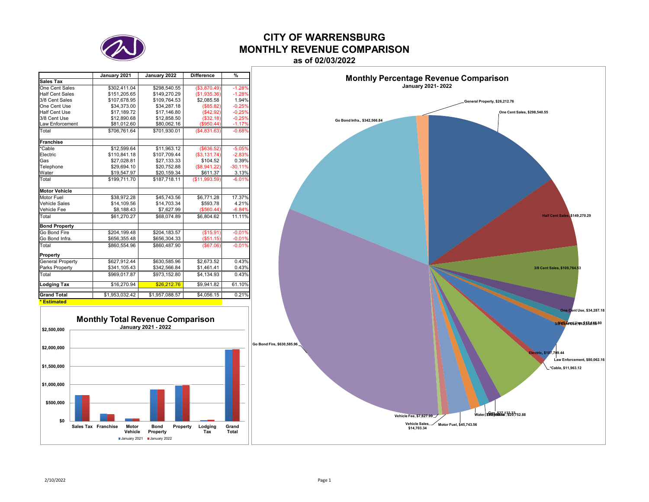![](_page_10_Picture_0.jpeg)

# **CITY OF WARRENSBURGMONTHLY REVENUE COMPARISON**

**as of 02/03/2022**

|                         | January 2021   | January 2022   | <b>Difference</b> | %         |
|-------------------------|----------------|----------------|-------------------|-----------|
| Sales Tax               |                |                |                   |           |
| One Cent Sales          | \$302.411.04   | \$298.540.55   | (\$3,870.49)      | $-1.28%$  |
| <b>Half Cent Sales</b>  | \$151,205.65   | \$149,270.29   | (\$1,935.36)      | $-1.28%$  |
| 3/8 Cent Sales          | \$107.678.95   | \$109.764.53   | \$2.085.58        | 1.94%     |
| One Cent Use            | \$34,373.00    | \$34,287.18    | (\$85.82)         | $-0.25%$  |
| Half Cent Use           | \$17,189.72    | \$17,146.80    | (\$42.92)         | $-0.25%$  |
| 3/8 Cent Use            | \$12,890.68    | \$12,858.50    | (\$32.18)         | $-0.25%$  |
| Law Enforcement         | \$81,012.60    | \$80,062.16    | (\$950.44)        | $-1.17%$  |
| Total                   | \$706.761.64   | \$701.930.01   | (\$4,831.63)      | $-0.68%$  |
| <b>Franchise</b>        |                |                |                   |           |
| *Cable                  | \$12,599.64    | \$11.963.12    | ( \$636.52)       | $-5.05%$  |
| Electric                | \$110.841.18   | \$107.709.44   | ( \$3,131.74)     | $-2.83%$  |
| Gas                     | \$27,028.81    | \$27,133.33    | \$104.52          | 0.39%     |
| Telephone               | \$29,694.10    | \$20,752.88    | (\$8,941.22)      | $-30.11%$ |
| Water                   | \$19,547.97    | \$20,159.34    | \$611.37          | 3.13%     |
| Total                   | \$199.711.70   | \$187.718.11   | (S11.993.59)      | $-6.01%$  |
| <b>Motor Vehicle</b>    |                |                |                   |           |
| Motor Fuel              | \$38.972.28    | \$45,743.56    | \$6,771.28        | 17.37%    |
| <b>Vehicle Sales</b>    | \$14.109.56    | \$14.703.34    | \$593.78          | 4.21%     |
| Vehicle Fee             | \$8,188.43     | \$7,627.99     | (\$560.44)        | $-6.84%$  |
| Total                   | \$61.270.27    | \$68.074.89    | \$6.804.62        | 11.11%    |
| <b>Bond Property</b>    |                |                |                   |           |
| Go Bond Fire            | \$204,199.48   | \$204,183.57   | (\$15.91)         | $-0.01%$  |
| Go Bond Infra.          | \$656,355.48   | \$656,304.33   | (\$51.15)         | $-0.01%$  |
| Total                   | \$860.554.96   | \$860.487.90   | (\$67.06)         | $-0.01%$  |
| Property                |                |                |                   |           |
| <b>General Property</b> | \$627,912.44   | \$630.585.96   | \$2,673.52        | 0.43%     |
| Parks Property          | \$341,105.43   | \$342,566.84   | \$1,461.41        | 0.43%     |
| Total                   | \$969.017.87   | \$973.152.80   | \$4.134.93        | 0.43%     |
| Lodging Tax             | \$16,270.94    | \$26,212.76    | \$9,941.82        | 61.10%    |
| <b>Grand Total</b>      | \$1,953,032.42 | \$1,957,088.57 | \$4,056.15        | 0.21%     |
| * Estimated             |                |                |                   |           |

![](_page_10_Figure_4.jpeg)

![](_page_10_Figure_5.jpeg)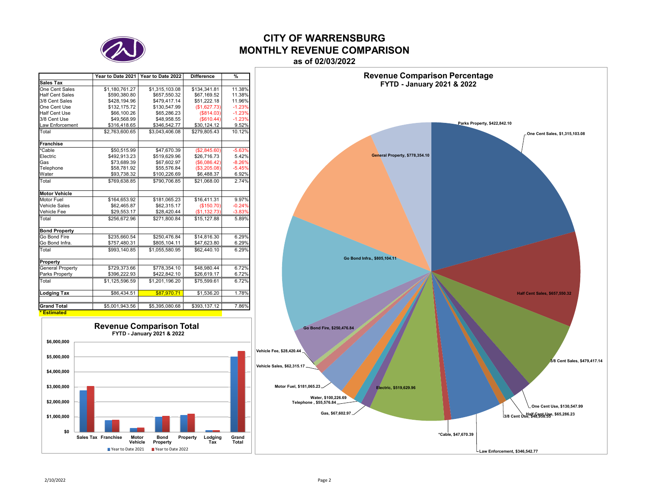![](_page_11_Picture_0.jpeg)

## **CITY OF WARRENSBURGMONTHLY REVENUE COMPARISONas of 02/03/2022**

|                         | Year to Date 2021 | Year to Date 2022 | <b>Difference</b> | $\frac{9}{6}$ |
|-------------------------|-------------------|-------------------|-------------------|---------------|
| Sales Tax               |                   |                   |                   |               |
| One Cent Sales          | \$1.180.761.27    | \$1,315,103.08    | \$134.341.81      | 11.38%        |
| <b>Half Cent Sales</b>  | \$590,380.80      | \$657,550.32      | \$67,169.52       | 11.38%        |
| 3/8 Cent Sales          | \$428,194.96      | \$479,417.14      | \$51,222.18       | 11.96%        |
| One Cent Use            | \$132,175.72      | \$130,547.99      | (\$1,627.73)      | $-1.23%$      |
| <b>Half Cent Use</b>    | \$66,100.26       | \$65,286,23       | (\$814.03)        | $-1.23%$      |
| 3/8 Cent Use            | \$49,568.99       | \$48.958.55       | (\$610.44)        | $-1.23%$      |
| Law Enforcement         | \$316,418.65      | \$346,542.77      | \$30,124.12       | 9.52%         |
| Total                   | \$2,763,600.65    | \$3.043.406.08    | \$279.805.43      | 10.12%        |
| <b>Franchise</b>        |                   |                   |                   |               |
| *Cable                  | \$50,515.99       | \$47,670.39       | (\$2,845.60)      | $-5.63%$      |
| Electric                | \$492.913.23      | \$519,629.96      | \$26,716.73       | 5.42%         |
| Gas                     | \$73.689.39       | \$67,602.97       | (S6.086.42)       | $-8.26%$      |
| Telephone               | \$58,781.92       | \$55,576.84       | (\$3,205.08)      | $-5.45%$      |
| Water                   | \$93,738.32       | \$100,226.69      | \$6,488.37        | 6.92%         |
| Total                   | \$769,638.85      | \$790,706.85      | \$21,068.00       | 2.74%         |
| <b>Motor Vehicle</b>    |                   |                   |                   |               |
| Motor Fuel              | \$164,653.92      | \$181,065.23      | \$16,411.31       | 9.97%         |
| Vehicle Sales           | \$62,465.87       | \$62,315.17       | (\$150.70)        | $-0.24%$      |
| Vehicle Fee             | \$29,553.17       | \$28,420.44       | (S1, 132.73)      | $-3.83%$      |
| Total                   | \$256,672.96      | \$271,800.84      | \$15.127.88       | 5.89%         |
| <b>Bond Property</b>    |                   |                   |                   |               |
| Go Bond Fire            | \$235.660.54      | \$250.476.84      | \$14,816.30       | 6.29%         |
| Go Bond Infra.          | \$757,480.31      | \$805,104.11      | \$47,623.80       | 6.29%         |
| Total                   | \$993,140.85      | \$1,055,580.95    | \$62,440.10       | 6.29%         |
| Property                |                   |                   |                   |               |
| <b>General Property</b> | \$729,373.66      | \$778,354.10      | \$48,980.44       | 6.72%         |
| Parks Property          | \$396,222.93      | \$422,842.10      | \$26,619.17       | 6.72%         |
| Total                   | \$1,125,596.59    | \$1,201,196.20    | \$75,599.61       | 6.72%         |
| <b>Lodging Tax</b>      | \$86,434.51       | \$87,970.71       | \$1,536.20        | 1.78%         |
| <b>Grand Total</b>      | \$5,001,943.56    | \$5,395,080.68    | \$393,137.12      | 7.86%         |
|                         |                   |                   |                   |               |
| <b>Estimated</b>        |                   |                   |                   |               |

![](_page_11_Figure_3.jpeg)

![](_page_11_Figure_4.jpeg)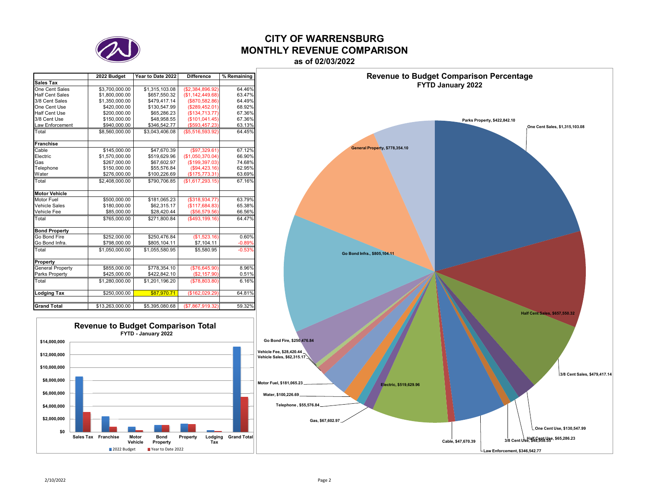![](_page_12_Picture_0.jpeg)

# **CITY OF WARRENSBURGMONTHLY REVENUE COMPARISON**

|                         | 2022 Budget     | Year to Date 2022 | <b>Difference</b> | % Remaining |
|-------------------------|-----------------|-------------------|-------------------|-------------|
| Sales Tax               |                 |                   |                   |             |
| One Cent Sales          | \$3,700,000.00  | \$1,315,103.08    | (\$2,384,896.92)  | 64.46%      |
| <b>Half Cent Sales</b>  | \$1,800,000.00  | \$657,550.32      | (\$1,142,449.68)  | 63.47%      |
| 3/8 Cent Sales          | \$1,350,000.00  | \$479.417.14      | (\$870,582.86)    | 64.49%      |
| One Cent Use            | \$420,000.00    | \$130,547.99      | (\$289,452.01)    | 68.92%      |
| Half Cent Use           | \$200,000.00    | \$65,286,23       | (\$134,713.77)    | 67.36%      |
| 3/8 Cent Use            | \$150,000.00    | \$48.958.55       | (\$101,041.45)    | 67.36%      |
| <b>Law Enforcement</b>  | \$940,000.00    | \$346.542.77      | $($ \$593.457.23) | 63.13%      |
| Total                   | \$8,560,000.00  | \$3.043.406.08    | (\$5.516.593.92)  | 64.45%      |
| <b>Franchise</b>        |                 |                   |                   |             |
| Cable                   | \$145,000.00    | \$47.670.39       | (\$97,329.61)     | 67.12%      |
| Electric                | \$1,570,000.00  | \$519,629.96      | (\$1,050,370.04)  | 66.90%      |
| Gas                     | \$267,000.00    | \$67,602.97       | (\$199,397.03)    | 74.68%      |
| Telephone               | \$150,000.00    | \$55,576.84       | (\$94,423.16)     | 62.95%      |
| Water                   | \$276,000.00    | \$100,226.69      | (\$175,773.31)    | 63.69%      |
| Total                   | \$2,408,000.00  | \$790,706.85      | (\$1,617,293.15)  | 67.16%      |
| <b>Motor Vehicle</b>    |                 |                   |                   |             |
| Motor Fuel              | \$500,000.00    | \$181,065.23      | (\$318,934.77)    | 63.79%      |
| <b>Vehicle Sales</b>    | \$180,000.00    | \$62.315.17       | (\$117,684.83)    | 65.38%      |
| Vehicle Fee             | \$85,000.00     | \$28,420.44       | (\$56,579.56)     | 66.56%      |
| Total                   | \$765,000.00    | \$271.800.84      | $($ \$493,199.16) | 64.47%      |
| <b>Bond Property</b>    |                 |                   |                   |             |
| Go Bond Fire            | \$252,000.00    | \$250,476.84      | (\$1,523.16)      | 0.60%       |
| Go Bond Infra.          | \$798,000.00    | \$805,104.11      | \$7,104.11        | $-0.89%$    |
| Total                   | \$1,050,000.00  | \$1,055,580.95    | \$5,580.95        | $-0.53%$    |
| Property                |                 |                   |                   |             |
| <b>General Property</b> | \$855,000.00    | \$778,354.10      | (\$76,645.90)     | 8.96%       |
| Parks Property          | \$425,000.00    | \$422,842.10      | (\$2,157.90)      | 0.51%       |
| Total                   | \$1,280,000.00  | \$1,201,196.20    | ( \$78, 803.80)   | 6.16%       |
| <b>Lodging Tax</b>      | \$250,000.00    | \$87,970.71       | (\$162,029.29)    | 64.81%      |
| <b>Grand Total</b>      | \$13,263,000.00 | \$5,395,080.68    | (\$7,867,919.32)  | 59.32%      |
|                         |                 |                   |                   |             |

**Revenue to Budget Comparison Total FYTD - January 2022**

**One Cent Sales, \$1,315,103.08 Half Cent Sales, \$657,550.32 Electric, \$519,629.96 Gas, \$67,602.97 Telephone , \$55,576.84 Water, \$100,226.69 Motor Fuel, \$181,065.23 Vehicle Sales, \$62,315.17 Vehicle Fee, \$28,420.44 Go Bond Fire, \$250,476.84 Go Bond Infra., \$805,104.11 General Property, \$778,354.10 Parks Property, \$422,842.10** 

**3/8 Cent Sales, \$479,417.14** 

**One Cent Use, \$130,547.99** 

**Half Cent Use, \$65,286.23 3/8 Cent Use, \$48,958.55** 

**Law Enforcement, \$346,542.77** 

**Cable, \$47,670.39** 

**FYTD January 2022**

# **as of 02/03/2022Revenue to Budget Comparison Percentage**

**\$0\$2,000,000 \$4,000,000 \$6,000,000 \$8,000,000 \$10,000,000 \$12,000,000 \$14,000,000**

**Sales Tax Franchise Motor**

**Vehicle**

2022 Budget

**BondProperty**

**B** Year to Date 2022

**Property Lodging Tax Grand Total**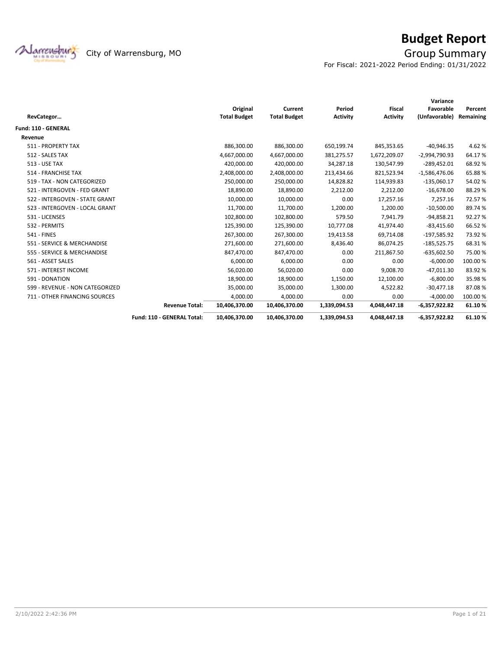![](_page_13_Picture_0.jpeg)

# **Budget Report**

For Fiscal: 2021-2022 Period Ending: 01/31/2022

|                                 |                            |                     |                     |                 |                 | Variance        |           |
|---------------------------------|----------------------------|---------------------|---------------------|-----------------|-----------------|-----------------|-----------|
|                                 |                            | Original            | Current             | Period          | <b>Fiscal</b>   | Favorable       | Percent   |
| RevCategor                      |                            | <b>Total Budget</b> | <b>Total Budget</b> | <b>Activity</b> | <b>Activity</b> | (Unfavorable)   | Remaining |
| <b>Fund: 110 - GENERAL</b>      |                            |                     |                     |                 |                 |                 |           |
| Revenue                         |                            |                     |                     |                 |                 |                 |           |
| 511 - PROPERTY TAX              |                            | 886,300.00          | 886,300.00          | 650,199.74      | 845,353.65      | $-40,946.35$    | 4.62%     |
| 512 - SALES TAX                 |                            | 4,667,000.00        | 4,667,000.00        | 381,275.57      | 1,672,209.07    | $-2,994,790.93$ | 64.17%    |
| 513 - USE TAX                   |                            | 420,000.00          | 420,000.00          | 34,287.18       | 130,547.99      | $-289,452.01$   | 68.92%    |
| 514 - FRANCHISE TAX             |                            | 2,408,000.00        | 2,408,000.00        | 213,434.66      | 821,523.94      | $-1,586,476.06$ | 65.88%    |
| 519 - TAX - NON CATEGORIZED     |                            | 250,000.00          | 250,000.00          | 14,828.82       | 114,939.83      | $-135,060.17$   | 54.02%    |
| 521 - INTERGOVEN - FED GRANT    |                            | 18,890.00           | 18,890.00           | 2,212.00        | 2,212.00        | $-16,678.00$    | 88.29%    |
| 522 - INTERGOVEN - STATE GRANT  |                            | 10,000.00           | 10,000.00           | 0.00            | 17,257.16       | 7,257.16        | 72.57%    |
| 523 - INTERGOVEN - LOCAL GRANT  |                            | 11,700.00           | 11,700.00           | 1,200.00        | 1,200.00        | $-10,500.00$    | 89.74%    |
| 531 - LICENSES                  |                            | 102,800.00          | 102,800.00          | 579.50          | 7,941.79        | $-94,858.21$    | 92.27%    |
| 532 - PERMITS                   |                            | 125,390.00          | 125,390.00          | 10,777.08       | 41,974.40       | $-83,415.60$    | 66.52%    |
| <b>541 - FINES</b>              |                            | 267,300.00          | 267,300.00          | 19,413.58       | 69,714.08       | $-197,585.92$   | 73.92 %   |
| 551 - SERVICE & MERCHANDISE     |                            | 271,600.00          | 271,600.00          | 8,436.40        | 86,074.25       | $-185,525.75$   | 68.31%    |
| 555 - SERVICE & MERCHANDISE     |                            | 847,470.00          | 847,470.00          | 0.00            | 211,867.50      | $-635,602.50$   | 75.00 %   |
| 561 - ASSET SALES               |                            | 6,000.00            | 6,000.00            | 0.00            | 0.00            | $-6,000.00$     | 100.00%   |
| 571 - INTEREST INCOME           |                            | 56,020.00           | 56,020.00           | 0.00            | 9,008.70        | $-47,011.30$    | 83.92%    |
| 591 - DONATION                  |                            | 18,900.00           | 18,900.00           | 1,150.00        | 12,100.00       | $-6,800.00$     | 35.98%    |
| 599 - REVENUE - NON CATEGORIZED |                            | 35,000.00           | 35,000.00           | 1,300.00        | 4,522.82        | $-30,477.18$    | 87.08%    |
| 711 - OTHER FINANCING SOURCES   |                            | 4,000.00            | 4,000.00            | 0.00            | 0.00            | $-4,000.00$     | 100.00%   |
|                                 | <b>Revenue Total:</b>      | 10,406,370.00       | 10,406,370.00       | 1,339,094.53    | 4,048,447.18    | $-6,357,922.82$ | 61.10%    |
|                                 | Fund: 110 - GENERAL Total: | 10,406,370.00       | 10,406,370.00       | 1,339,094.53    | 4,048,447.18    | $-6,357,922.82$ | 61.10%    |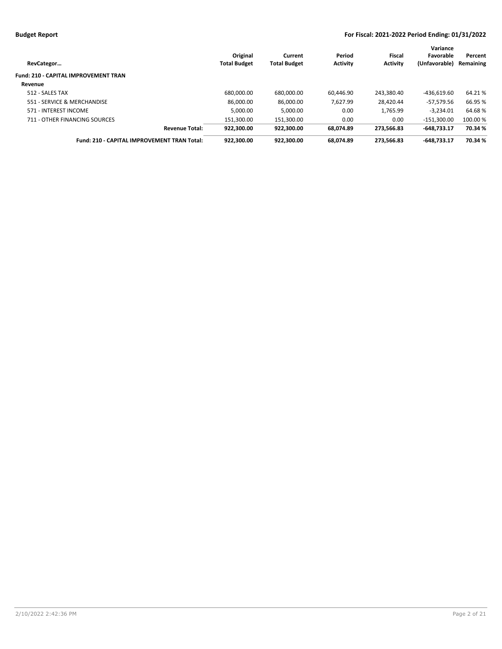| RevCategor                                  | Original<br><b>Total Budget</b> | Current<br><b>Total Budget</b> | Period<br><b>Activity</b> | Fiscal<br><b>Activity</b> | Variance<br>Favorable<br>(Unfavorable) | Percent<br>Remaining |
|---------------------------------------------|---------------------------------|--------------------------------|---------------------------|---------------------------|----------------------------------------|----------------------|
| <b>Fund: 210 - CAPITAL IMPROVEMENT TRAN</b> |                                 |                                |                           |                           |                                        |                      |
| Revenue                                     |                                 |                                |                           |                           |                                        |                      |
| 512 - SALES TAX                             | 680.000.00                      | 680,000.00                     | 60.446.90                 | 243.380.40                | $-436.619.60$                          | 64.21%               |
| 551 - SERVICE & MERCHANDISE                 | 86.000.00                       | 86.000.00                      | 7.627.99                  | 28.420.44                 | $-57.579.56$                           | 66.95 %              |
| 571 - INTEREST INCOME                       | 5.000.00                        | 5,000.00                       | 0.00                      | 1.765.99                  | $-3.234.01$                            | 64.68%               |
| 711 - OTHER FINANCING SOURCES               | 151.300.00                      | 151.300.00                     | 0.00                      | 0.00                      | $-151.300.00$                          | 100.00 %             |
| <b>Revenue Total:</b>                       | 922.300.00                      | 922,300.00                     | 68.074.89                 | 273.566.83                | $-648.733.17$                          | 70.34 %              |
| Fund: 210 - CAPITAL IMPROVEMENT TRAN Total: | 922.300.00                      | 922.300.00                     | 68.074.89                 | 273.566.83                | $-648.733.17$                          | 70.34 %              |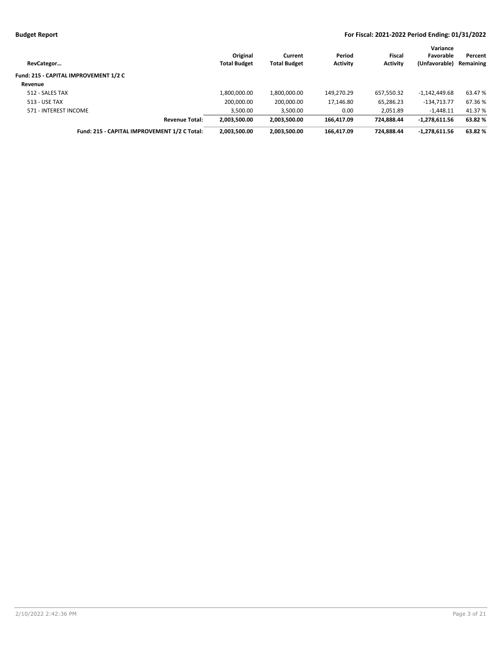| RevCategor                                   | Original<br><b>Total Budget</b> | Current<br><b>Total Budget</b> | Period<br><b>Activity</b> | Fiscal<br><b>Activity</b> | Variance<br>Favorable<br>(Unfavorable) | Percent<br>Remaining |
|----------------------------------------------|---------------------------------|--------------------------------|---------------------------|---------------------------|----------------------------------------|----------------------|
| Fund: 215 - CAPITAL IMPROVEMENT 1/2 C        |                                 |                                |                           |                           |                                        |                      |
| Revenue                                      |                                 |                                |                           |                           |                                        |                      |
| 512 - SALES TAX                              | 1.800.000.00                    | 1,800,000.00                   | 149.270.29                | 657,550.32                | $-1,142,449.68$                        | 63.47 %              |
| 513 - USE TAX                                | 200,000.00                      | 200,000.00                     | 17,146.80                 | 65,286.23                 | $-134.713.77$                          | 67.36%               |
| 571 - INTEREST INCOME                        | 3,500.00                        | 3,500.00                       | 0.00                      | 2.051.89                  | $-1,448.11$                            | 41.37 %              |
| <b>Revenue Total:</b>                        | 2,003,500.00                    | 2,003,500.00                   | 166.417.09                | 724.888.44                | $-1,278,611.56$                        | 63.82 %              |
| Fund: 215 - CAPITAL IMPROVEMENT 1/2 C Total: | 2,003,500.00                    | 2.003.500.00                   | 166.417.09                | 724.888.44                | $-1,278,611.56$                        | 63.82 %              |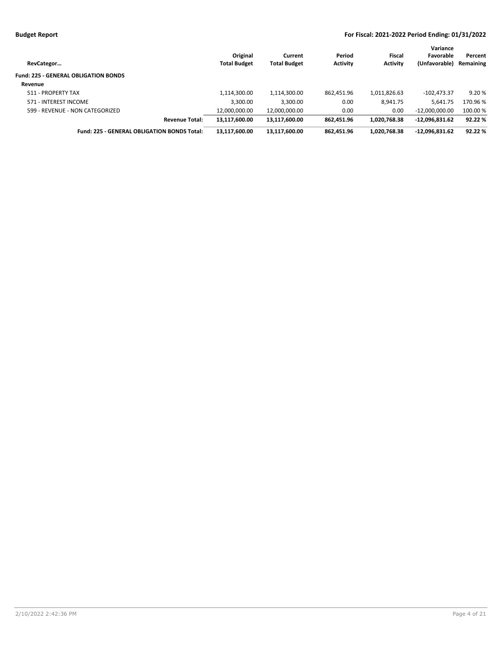| RevCategor                                  | Original<br><b>Total Budget</b> | Current<br><b>Total Budget</b> | Period<br><b>Activity</b> | <b>Fiscal</b><br><b>Activity</b> | Variance<br>Favorable<br>(Unfavorable) | Percent<br>Remaining |
|---------------------------------------------|---------------------------------|--------------------------------|---------------------------|----------------------------------|----------------------------------------|----------------------|
| <b>Fund: 225 - GENERAL OBLIGATION BONDS</b> |                                 |                                |                           |                                  |                                        |                      |
| Revenue                                     |                                 |                                |                           |                                  |                                        |                      |
| 511 - PROPERTY TAX                          | 1,114,300.00                    | 1,114,300.00                   | 862,451.96                | 1,011,826.63                     | $-102.473.37$                          | 9.20%                |
| 571 - INTEREST INCOME                       | 3,300.00                        | 3,300.00                       | 0.00                      | 8,941.75                         | 5,641.75                               | 170.96 %             |
| 599 - REVENUE - NON CATEGORIZED             | 12,000,000.00                   | 12,000,000.00                  | 0.00                      | 0.00                             | $-12.000.000.00$                       | 100.00 %             |
| <b>Revenue Total:</b>                       | 13.117.600.00                   | 13,117,600.00                  | 862.451.96                | 1.020.768.38                     | $-12.096.831.62$                       | 92.22 %              |
| Fund: 225 - GENERAL OBLIGATION BONDS Total: | 13,117,600.00                   | 13,117,600.00                  | 862.451.96                | 1,020,768.38                     | $-12,096,831.62$                       | 92.22 %              |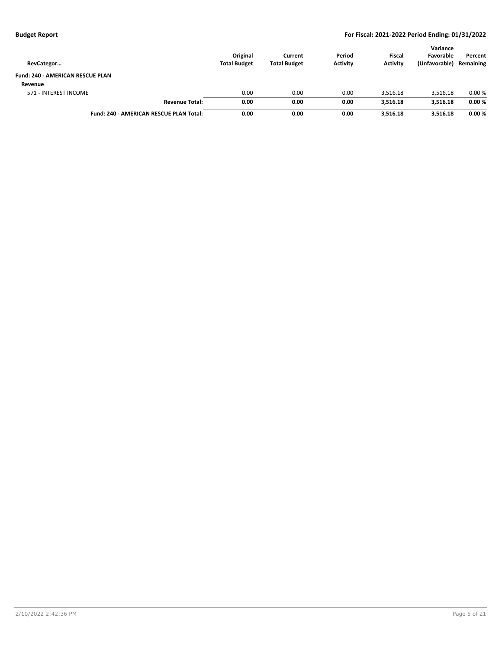|                                                |                     |                     |                 |                 | Variance      |           |
|------------------------------------------------|---------------------|---------------------|-----------------|-----------------|---------------|-----------|
|                                                | Original            | Current             | Period          | <b>Fiscal</b>   | Favorable     | Percent   |
| RevCategor                                     | <b>Total Budget</b> | <b>Total Budget</b> | <b>Activity</b> | <b>Activity</b> | (Unfavorable) | Remaining |
| Fund: 240 - AMERICAN RESCUE PLAN               |                     |                     |                 |                 |               |           |
| Revenue                                        |                     |                     |                 |                 |               |           |
| 571 - INTEREST INCOME                          | 0.00                | 0.00                | 0.00            | 3.516.18        | 3,516.18      | 0.00%     |
| <b>Revenue Total:</b>                          | 0.00                | 0.00                | 0.00            | 3,516.18        | 3,516.18      | 0.00%     |
| <b>Fund: 240 - AMERICAN RESCUE PLAN Total:</b> | 0.00                | 0.00                | 0.00            | 3,516.18        | 3,516.18      | 0.00%     |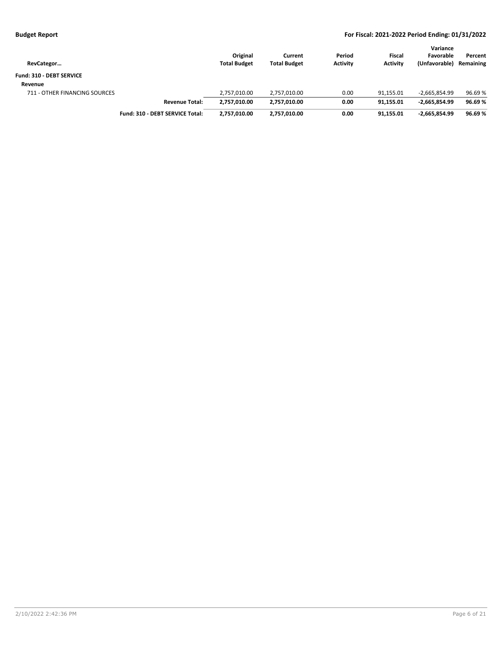| RevCategor                    |                                 | Original<br><b>Total Budget</b> | Current<br><b>Total Budget</b> | Period<br><b>Activity</b> | <b>Fiscal</b><br><b>Activity</b> | Variance<br>Favorable<br>(Unfavorable) | Percent<br>Remaining |
|-------------------------------|---------------------------------|---------------------------------|--------------------------------|---------------------------|----------------------------------|----------------------------------------|----------------------|
| Fund: 310 - DEBT SERVICE      |                                 |                                 |                                |                           |                                  |                                        |                      |
| Revenue                       |                                 |                                 |                                |                           |                                  |                                        |                      |
| 711 - OTHER FINANCING SOURCES |                                 | 2.757.010.00                    | 2.757.010.00                   | 0.00                      | 91.155.01                        | $-2.665.854.99$                        | 96.69 %              |
|                               | <b>Revenue Total:</b>           | 2,757,010.00                    | 2,757,010.00                   | 0.00                      | 91.155.01                        | $-2,665,854.99$                        | 96.69%               |
|                               | Fund: 310 - DEBT SERVICE Total: | 2.757.010.00                    | 2.757.010.00                   | 0.00                      | 91.155.01                        | $-2.665.854.99$                        | 96.69%               |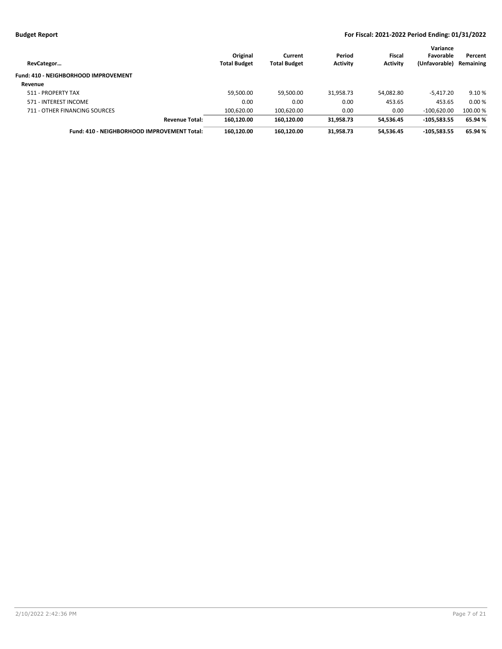| RevCategor                                  | Original<br><b>Total Budget</b> | Current<br><b>Total Budget</b> | Period<br><b>Activity</b> | Fiscal<br><b>Activity</b> | Variance<br>Favorable<br>(Unfavorable) | Percent<br>Remaining |
|---------------------------------------------|---------------------------------|--------------------------------|---------------------------|---------------------------|----------------------------------------|----------------------|
| Fund: 410 - NEIGHBORHOOD IMPROVEMENT        |                                 |                                |                           |                           |                                        |                      |
| Revenue                                     |                                 |                                |                           |                           |                                        |                      |
| 511 - PROPERTY TAX                          | 59,500.00                       | 59,500.00                      | 31,958.73                 | 54,082.80                 | $-5.417.20$                            | 9.10 %               |
| 571 - INTEREST INCOME                       | 0.00                            | 0.00                           | 0.00                      | 453.65                    | 453.65                                 | 0.00%                |
| 711 - OTHER FINANCING SOURCES               | 100.620.00                      | 100,620.00                     | 0.00                      | 0.00                      | $-100,620.00$                          | 100.00 %             |
| <b>Revenue Total:</b>                       | 160.120.00                      | 160.120.00                     | 31.958.73                 | 54.536.45                 | $-105.583.55$                          | 65.94 %              |
| Fund: 410 - NEIGHBORHOOD IMPROVEMENT Total: | 160,120.00                      | 160,120.00                     | 31,958.73                 | 54,536.45                 | $-105.583.55$                          | 65.94 %              |
|                                             |                                 |                                |                           |                           |                                        |                      |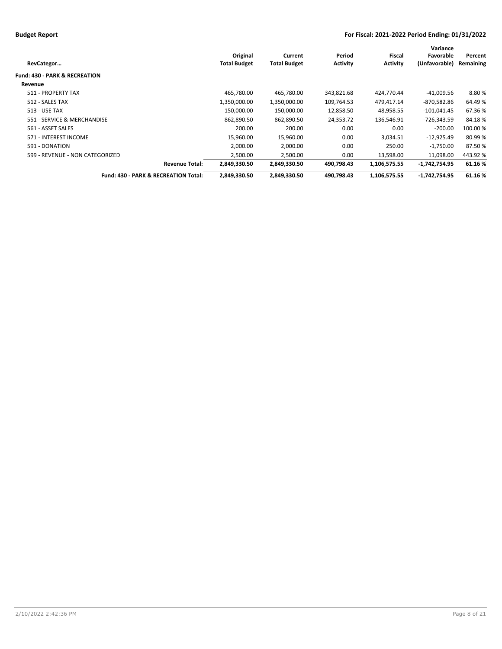|                                          |                     |                     |                 |                 | Variance        |           |
|------------------------------------------|---------------------|---------------------|-----------------|-----------------|-----------------|-----------|
|                                          | Original            | Current             | Period          | Fiscal          | Favorable       | Percent   |
| RevCategor                               | <b>Total Budget</b> | <b>Total Budget</b> | <b>Activity</b> | <b>Activity</b> | (Unfavorable)   | Remaining |
| <b>Fund: 430 - PARK &amp; RECREATION</b> |                     |                     |                 |                 |                 |           |
| Revenue                                  |                     |                     |                 |                 |                 |           |
| 511 - PROPERTY TAX                       | 465,780.00          | 465,780.00          | 343,821.68      | 424.770.44      | -41,009.56      | 8.80%     |
| 512 - SALES TAX                          | 1,350,000.00        | 1,350,000.00        | 109,764.53      | 479,417.14      | -870,582.86     | 64.49 %   |
| <b>513 - USE TAX</b>                     | 150,000.00          | 150,000.00          | 12,858.50       | 48,958.55       | $-101.041.45$   | 67.36%    |
| 551 - SERVICE & MERCHANDISE              | 862,890.50          | 862,890.50          | 24,353.72       | 136,546.91      | $-726,343.59$   | 84.18%    |
| 561 - ASSET SALES                        | 200.00              | 200.00              | 0.00            | 0.00            | $-200.00$       | 100.00 %  |
| 571 - INTEREST INCOME                    | 15,960.00           | 15,960.00           | 0.00            | 3,034.51        | $-12,925.49$    | 80.99%    |
| 591 - DONATION                           | 2,000.00            | 2,000.00            | 0.00            | 250.00          | $-1,750.00$     | 87.50%    |
| 599 - REVENUE - NON CATEGORIZED          | 2,500.00            | 2,500.00            | 0.00            | 13,598.00       | 11,098.00       | 443.92%   |
| <b>Revenue Total:</b>                    | 2,849,330.50        | 2,849,330.50        | 490,798.43      | 1,106,575.55    | -1,742,754.95   | 61.16%    |
| Fund: 430 - PARK & RECREATION Total:     | 2,849,330.50        | 2,849,330.50        | 490,798.43      | 1,106,575.55    | $-1,742,754.95$ | 61.16%    |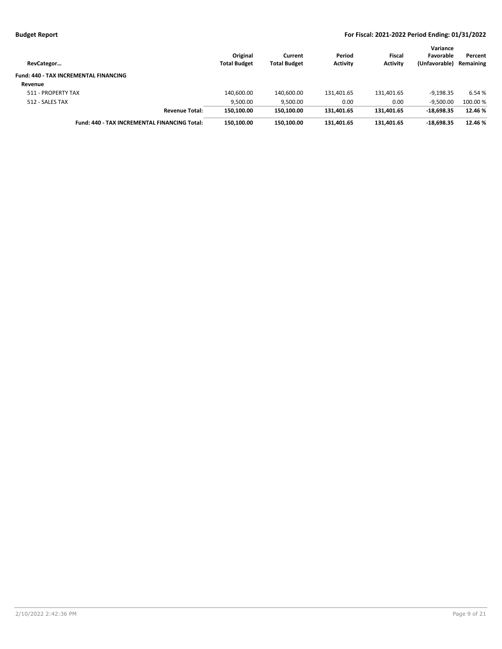| RevCategor                                          | Original<br><b>Total Budget</b> | Current<br><b>Total Budget</b> | Period<br><b>Activity</b> | Fiscal<br><b>Activity</b> | Variance<br>Favorable<br>(Unfavorable) | Percent<br>Remaining |
|-----------------------------------------------------|---------------------------------|--------------------------------|---------------------------|---------------------------|----------------------------------------|----------------------|
| <b>Fund: 440 - TAX INCREMENTAL FINANCING</b>        |                                 |                                |                           |                           |                                        |                      |
| Revenue                                             |                                 |                                |                           |                           |                                        |                      |
| 511 - PROPERTY TAX                                  | 140,600.00                      | 140,600.00                     | 131,401.65                | 131,401.65                | $-9.198.35$                            | 6.54 %               |
| 512 - SALES TAX                                     | 9,500.00                        | 9,500.00                       | 0.00                      | 0.00                      | $-9.500.00$                            | 100.00 %             |
| <b>Revenue Total:</b>                               | 150,100.00                      | 150.100.00                     | 131.401.65                | 131.401.65                | $-18.698.35$                           | 12.46 %              |
| <b>Fund: 440 - TAX INCREMENTAL FINANCING Total:</b> | 150.100.00                      | 150.100.00                     | 131.401.65                | 131.401.65                | $-18.698.35$                           | 12.46 %              |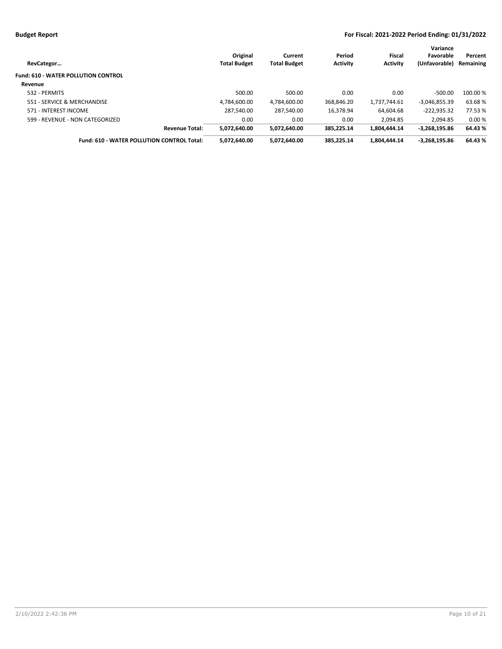| <b>Fund: 610 - WATER POLLUTION CONTROL</b>                                                                      |                 |          |
|-----------------------------------------------------------------------------------------------------------------|-----------------|----------|
|                                                                                                                 |                 |          |
| Revenue                                                                                                         |                 |          |
| 500.00<br>500.00<br>0.00<br>0.00<br>532 - PERMITS                                                               | $-500.00$       | 100.00 % |
| 368.846.20<br>551 - SERVICE & MERCHANDISE<br>4.784.600.00<br>4.784.600.00<br>1.737.744.61                       | $-3.046.855.39$ | 63.68%   |
| 287,540.00<br>287,540.00<br>16,378.94<br>571 - INTEREST INCOME<br>64.604.68                                     | $-222,935.32$   | 77.53 %  |
| 599 - REVENUE - NON CATEGORIZED<br>0.00<br>0.00<br>0.00<br>2.094.85                                             | 2.094.85        | 0.00%    |
| 5.072.640.00<br>385.225.14<br>5.072.640.00<br>1.804.444.14<br><b>Revenue Total:</b>                             | $-3.268.195.86$ | 64.43 %  |
| <b>Fund: 610 - WATER POLLUTION CONTROL Total:</b><br>5,072,640.00<br>5,072,640.00<br>385.225.14<br>1,804,444.14 | $-3,268,195.86$ | 64.43 %  |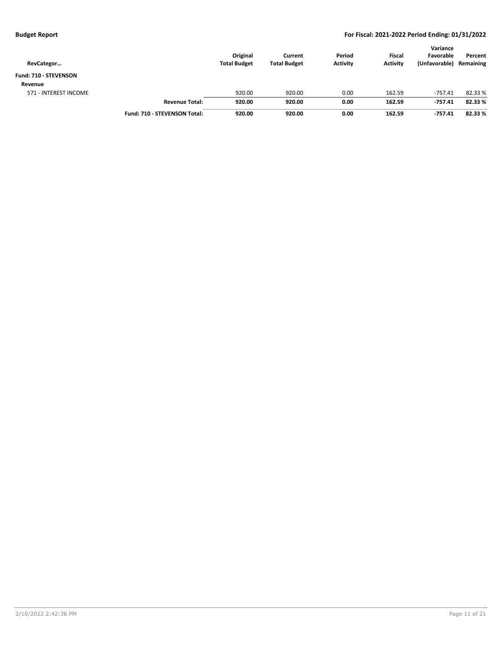| RevCategor            |                              | Original<br><b>Total Budget</b> | Current<br><b>Total Budget</b> | Period<br><b>Activity</b> | <b>Fiscal</b><br><b>Activity</b> | Variance<br>Favorable<br>(Unfavorable) | Percent<br>Remaining |
|-----------------------|------------------------------|---------------------------------|--------------------------------|---------------------------|----------------------------------|----------------------------------------|----------------------|
| Fund: 710 - STEVENSON |                              |                                 |                                |                           |                                  |                                        |                      |
| Revenue               |                              |                                 |                                |                           |                                  |                                        |                      |
| 571 - INTEREST INCOME |                              | 920.00                          | 920.00                         | 0.00                      | 162.59                           | $-757.41$                              | 82.33 %              |
|                       | <b>Revenue Total:</b>        | 920.00                          | 920.00                         | 0.00                      | 162.59                           | -757.41                                | 82.33 %              |
|                       | Fund: 710 - STEVENSON Total: | 920.00                          | 920.00                         | 0.00                      | 162.59                           | $-757.41$                              | 82.33 %              |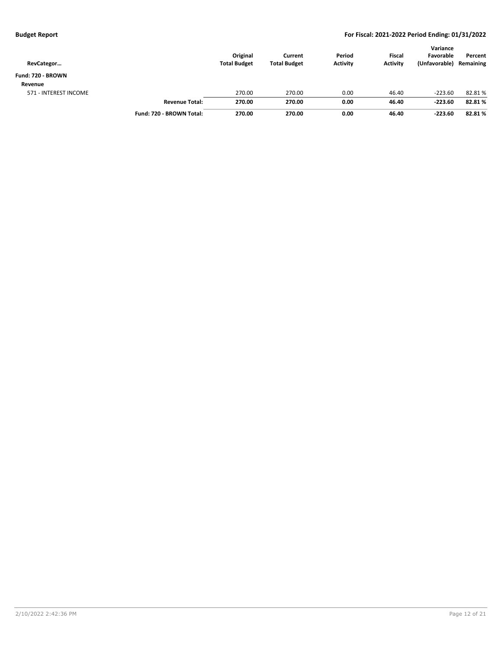| RevCategor            |                          | Original<br><b>Total Budget</b> | Current<br><b>Total Budget</b> | Period<br><b>Activity</b> | <b>Fiscal</b><br><b>Activity</b> | Variance<br>Favorable<br>(Unfavorable) | Percent<br>Remaining |
|-----------------------|--------------------------|---------------------------------|--------------------------------|---------------------------|----------------------------------|----------------------------------------|----------------------|
| Fund: 720 - BROWN     |                          |                                 |                                |                           |                                  |                                        |                      |
| Revenue               |                          |                                 |                                |                           |                                  |                                        |                      |
| 571 - INTEREST INCOME |                          | 270.00                          | 270.00                         | 0.00                      | 46.40                            | $-223.60$                              | 82.81%               |
|                       | <b>Revenue Total:</b>    | 270.00                          | 270.00                         | 0.00                      | 46.40                            | $-223.60$                              | 82.81%               |
|                       | Fund: 720 - BROWN Total: | 270.00                          | 270.00                         | 0.00                      | 46.40                            | $-223.60$                              | 82.81%               |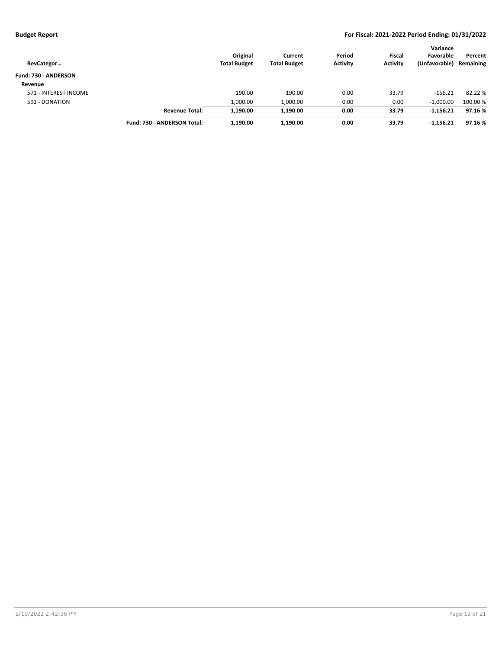| RevCategor                  |                             | Original<br><b>Total Budget</b> | Current<br><b>Total Budget</b> | Period<br><b>Activity</b> | Fiscal<br><b>Activity</b> | Variance<br>Favorable<br>(Unfavorable) | Percent<br>Remaining |
|-----------------------------|-----------------------------|---------------------------------|--------------------------------|---------------------------|---------------------------|----------------------------------------|----------------------|
| <b>Fund: 730 - ANDERSON</b> |                             |                                 |                                |                           |                           |                                        |                      |
| Revenue                     |                             |                                 |                                |                           |                           |                                        |                      |
| 571 - INTEREST INCOME       |                             | 190.00                          | 190.00                         | 0.00                      | 33.79                     | $-156.21$                              | 82.22 %              |
| 591 - DONATION              |                             | 1,000.00                        | 1,000.00                       | 0.00                      | 0.00                      | $-1,000.00$                            | 100.00 %             |
|                             | <b>Revenue Total:</b>       | 1,190.00                        | 1,190.00                       | 0.00                      | 33.79                     | $-1,156.21$                            | 97.16%               |
|                             | Fund: 730 - ANDERSON Total: | 1,190.00                        | 1,190.00                       | 0.00                      | 33.79                     | $-1,156.21$                            | 97.16%               |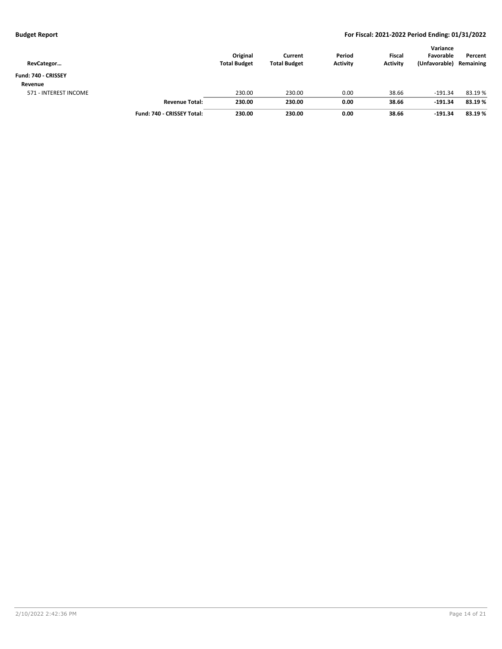| RevCategor            |                            | Original<br><b>Total Budget</b> | Current<br><b>Total Budget</b> | Period<br><b>Activity</b> | <b>Fiscal</b><br><b>Activity</b> | Variance<br>Favorable<br>(Unfavorable) | Percent<br>Remaining |
|-----------------------|----------------------------|---------------------------------|--------------------------------|---------------------------|----------------------------------|----------------------------------------|----------------------|
| Fund: 740 - CRISSEY   |                            |                                 |                                |                           |                                  |                                        |                      |
| Revenue               |                            |                                 |                                |                           |                                  |                                        |                      |
| 571 - INTEREST INCOME |                            | 230.00                          | 230.00                         | 0.00                      | 38.66                            | $-191.34$                              | 83.19 %              |
|                       | <b>Revenue Total:</b>      | 230.00                          | 230.00                         | 0.00                      | 38.66                            | $-191.34$                              | 83.19%               |
|                       | Fund: 740 - CRISSEY Total: | 230.00                          | 230.00                         | 0.00                      | 38.66                            | $-191.34$                              | 83.19%               |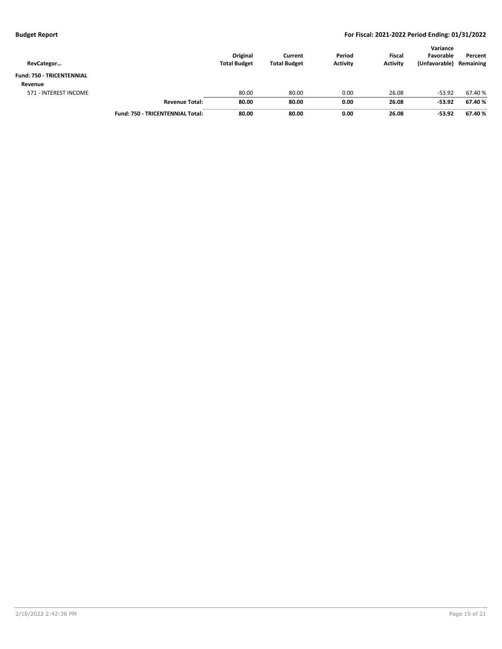| RevCategor                       |                                         | Original<br><b>Total Budget</b> | Current<br><b>Total Budget</b> | Period<br><b>Activity</b> | <b>Fiscal</b><br><b>Activity</b> | Variance<br>Favorable<br>(Unfavorable) | Percent<br>Remaining |
|----------------------------------|-----------------------------------------|---------------------------------|--------------------------------|---------------------------|----------------------------------|----------------------------------------|----------------------|
| <b>Fund: 750 - TRICENTENNIAL</b> |                                         |                                 |                                |                           |                                  |                                        |                      |
| Revenue                          |                                         |                                 |                                |                           |                                  |                                        |                      |
| 571 - INTEREST INCOME            |                                         | 80.00                           | 80.00                          | 0.00                      | 26.08                            | $-53.92$                               | 67.40 %              |
|                                  | <b>Revenue Total:</b>                   | 80.00                           | 80.00                          | 0.00                      | 26.08                            | $-53.92$                               | 67.40 %              |
|                                  | <b>Fund: 750 - TRICENTENNIAL Total:</b> | 80.00                           | 80.00                          | 0.00                      | 26.08                            | $-53.92$                               | 67.40 %              |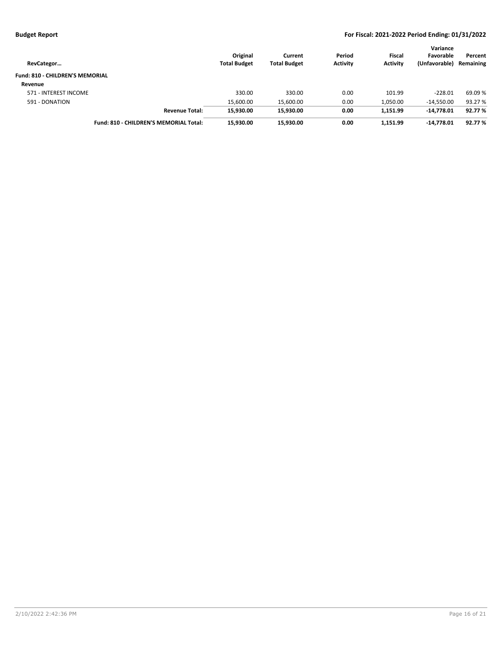| RevCategor                             | Original<br><b>Total Budget</b> | Current<br><b>Total Budget</b> | Period<br><b>Activity</b> | Fiscal<br><b>Activity</b> | Variance<br>Favorable<br>(Unfavorable) | Percent<br>Remaining |
|----------------------------------------|---------------------------------|--------------------------------|---------------------------|---------------------------|----------------------------------------|----------------------|
| <b>Fund: 810 - CHILDREN'S MEMORIAL</b> |                                 |                                |                           |                           |                                        |                      |
| Revenue                                |                                 |                                |                           |                           |                                        |                      |
| 571 - INTEREST INCOME                  | 330.00                          | 330.00                         | 0.00                      | 101.99                    | $-228.01$                              | 69.09 %              |
| 591 - DONATION                         | 15,600.00                       | 15,600.00                      | 0.00                      | 1,050.00                  | $-14.550.00$                           | 93.27 %              |
| <b>Revenue Total:</b>                  | 15,930.00                       | 15.930.00                      | 0.00                      | 1,151.99                  | -14.778.01                             | 92.77 %              |
| Fund: 810 - CHILDREN'S MEMORIAL Total: | 15.930.00                       | 15.930.00                      | 0.00                      | 1.151.99                  | -14.778.01                             | 92.77 %              |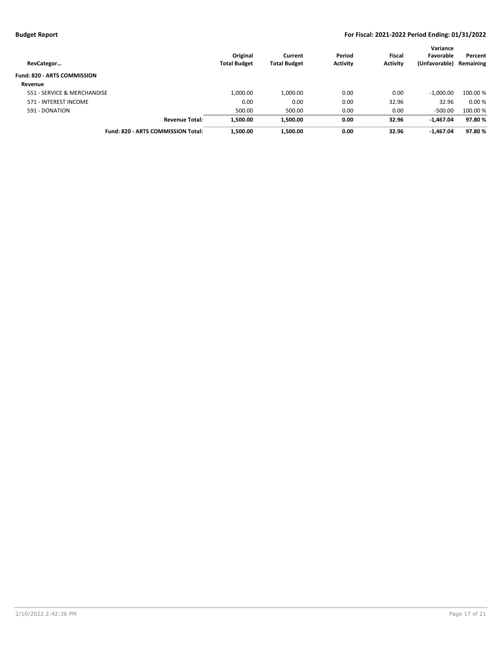| RevCategor                         | Original<br><b>Total Budget</b> | Current<br><b>Total Budget</b> | Period<br><b>Activity</b> | <b>Fiscal</b><br><b>Activity</b> | Variance<br>Favorable<br>(Unfavorable) | Percent<br>Remaining |
|------------------------------------|---------------------------------|--------------------------------|---------------------------|----------------------------------|----------------------------------------|----------------------|
| <b>Fund: 820 - ARTS COMMISSION</b> |                                 |                                |                           |                                  |                                        |                      |
| Revenue                            |                                 |                                |                           |                                  |                                        |                      |
| 551 - SERVICE & MERCHANDISE        | 1,000.00                        | 1,000.00                       | 0.00                      | 0.00                             | $-1.000.00$                            | 100.00 %             |
| 571 - INTEREST INCOME              | 0.00                            | 0.00                           | 0.00                      | 32.96                            | 32.96                                  | 0.00%                |
| 591 - DONATION                     | 500.00                          | 500.00                         | 0.00                      | 0.00                             | $-500.00$                              | 100.00%              |
| <b>Revenue Total:</b>              | 1,500.00                        | 1,500.00                       | 0.00                      | 32.96                            | $-1,467.04$                            | 97.80%               |
| Fund: 820 - ARTS COMMISSION Total: | 1,500.00                        | 1,500.00                       | 0.00                      | 32.96                            | $-1,467.04$                            | 97.80%               |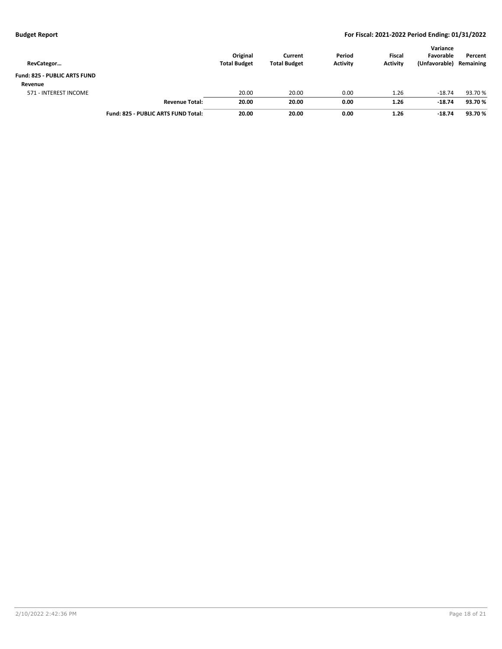| RevCategor                          |                                     | Original<br><b>Total Budget</b> | Current<br><b>Total Budget</b> | Period<br><b>Activity</b> | <b>Fiscal</b><br><b>Activity</b> | Variance<br>Favorable<br>(Unfavorable) | Percent<br>Remaining |
|-------------------------------------|-------------------------------------|---------------------------------|--------------------------------|---------------------------|----------------------------------|----------------------------------------|----------------------|
| <b>Fund: 825 - PUBLIC ARTS FUND</b> |                                     |                                 |                                |                           |                                  |                                        |                      |
| Revenue                             |                                     |                                 |                                |                           |                                  |                                        |                      |
| 571 - INTEREST INCOME               |                                     | 20.00                           | 20.00                          | 0.00                      | 1.26                             | $-18.74$                               | 93.70 %              |
|                                     | <b>Revenue Total:</b>               | 20.00                           | 20.00                          | 0.00                      | 1.26                             | $-18.74$                               | 93.70%               |
|                                     | Fund: 825 - PUBLIC ARTS FUND Total: | 20.00                           | 20.00                          | 0.00                      | 1.26                             | $-18.74$                               | 93.70%               |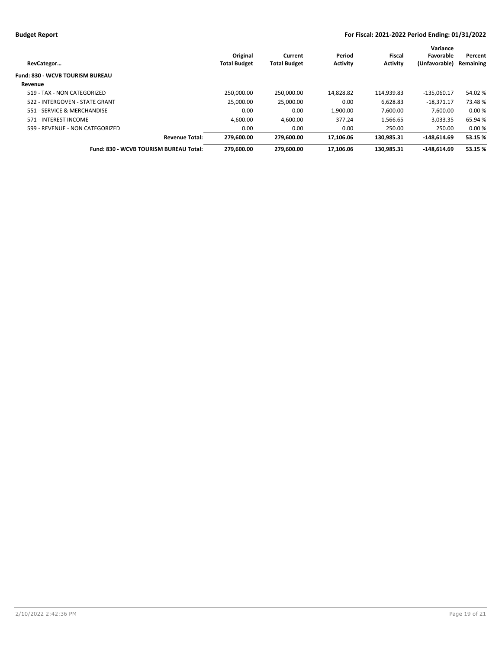| RevCategor                             | Original<br><b>Total Budget</b> | Current<br><b>Total Budget</b> | Period<br><b>Activity</b> | Fiscal<br><b>Activity</b> | Variance<br>Favorable<br>(Unfavorable) | Percent<br>Remaining |
|----------------------------------------|---------------------------------|--------------------------------|---------------------------|---------------------------|----------------------------------------|----------------------|
| <b>Fund: 830 - WCVB TOURISM BUREAU</b> |                                 |                                |                           |                           |                                        |                      |
| Revenue                                |                                 |                                |                           |                           |                                        |                      |
| 519 - TAX - NON CATEGORIZED            | 250.000.00                      | 250.000.00                     | 14,828.82                 | 114.939.83                | $-135.060.17$                          | 54.02%               |
| 522 - INTERGOVEN - STATE GRANT         | 25.000.00                       | 25,000.00                      | 0.00                      | 6,628.83                  | $-18.371.17$                           | 73.48%               |
| 551 - SERVICE & MERCHANDISE            | 0.00                            | 0.00                           | 1.900.00                  | 7.600.00                  | 7.600.00                               | 0.00%                |
| 571 - INTEREST INCOME                  | 4.600.00                        | 4,600.00                       | 377.24                    | 1.566.65                  | $-3,033.35$                            | 65.94 %              |
| 599 - REVENUE - NON CATEGORIZED        | 0.00                            | 0.00                           | 0.00                      | 250.00                    | 250.00                                 | 0.00%                |
| <b>Revenue Total:</b>                  | 279.600.00                      | 279.600.00                     | 17.106.06                 | 130.985.31                | $-148.614.69$                          | 53.15 %              |
| Fund: 830 - WCVB TOURISM BUREAU Total: | 279.600.00                      | 279.600.00                     | 17.106.06                 | 130.985.31                | $-148.614.69$                          | 53.15 %              |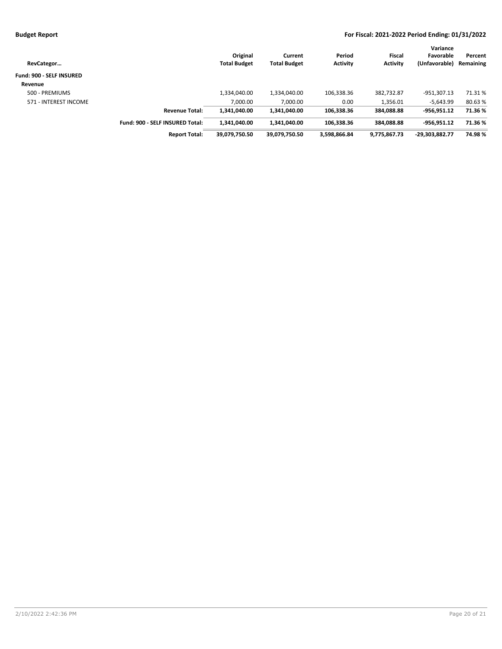| RevCategor                      |                                 | Original<br><b>Total Budget</b> | Current<br><b>Total Budget</b> | Period<br><b>Activity</b> | Fiscal<br><b>Activity</b> | Variance<br>Favorable<br>(Unfavorable) | Percent<br>Remaining |
|---------------------------------|---------------------------------|---------------------------------|--------------------------------|---------------------------|---------------------------|----------------------------------------|----------------------|
| <b>Fund: 900 - SELF INSURED</b> |                                 |                                 |                                |                           |                           |                                        |                      |
| Revenue                         |                                 |                                 |                                |                           |                           |                                        |                      |
| 500 - PREMIUMS                  |                                 | 1,334,040.00                    | 1,334,040.00                   | 106,338.36                | 382,732.87                | $-951,307.13$                          | 71.31%               |
| 571 - INTEREST INCOME           |                                 | 7.000.00                        | 7,000.00                       | 0.00                      | 1,356.01                  | $-5,643.99$                            | 80.63%               |
|                                 | <b>Revenue Total:</b>           | 1.341.040.00                    | 1,341,040.00                   | 106.338.36                | 384.088.88                | -956.951.12                            | 71.36%               |
|                                 | Fund: 900 - SELF INSURED Total: | 1.341.040.00                    | 1.341.040.00                   | 106.338.36                | 384.088.88                | -956.951.12                            | 71.36%               |
|                                 | <b>Report Total:</b>            | 39.079.750.50                   | 39,079,750.50                  | 3.598.866.84              | 9.775.867.73              | -29.303.882.77                         | 74.98%               |